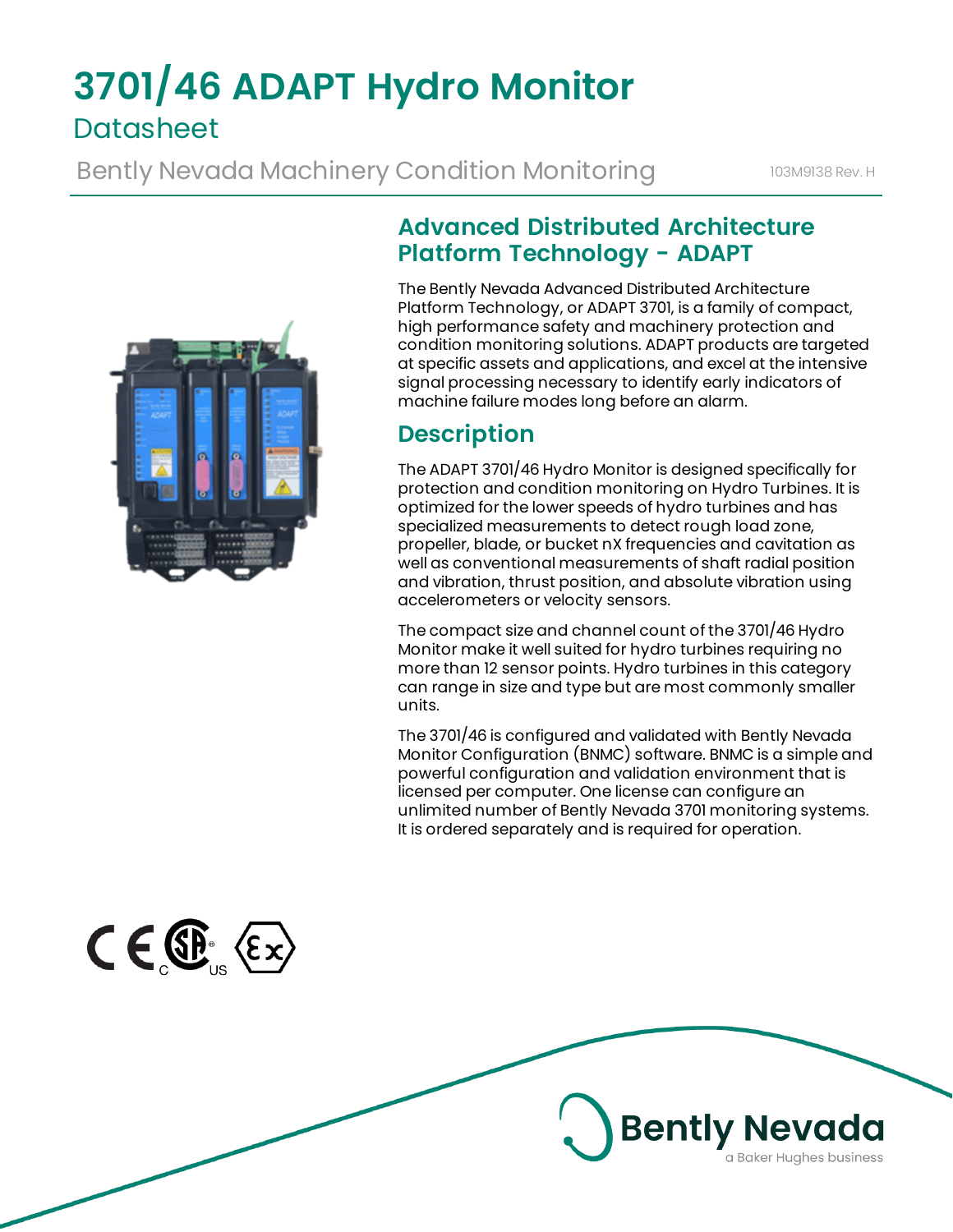# **3701/46 ADAPT Hydro Monitor Datasheet**

Bently Nevada Machinery Condition Monitoring **103M9138 Rev. H** 



## **Advanced Distributed Architecture Platform Technology - ADAPT**

The Bently Nevada Advanced Distributed Architecture Platform Technology, or ADAPT 3701, is a family of compact, high performance safety and machinery protection and condition monitoring solutions. ADAPT products are targeted at specific assets and applications, and excel at the intensive signal processing necessary to identify early indicators of machine failure modes long before an alarm.

## **Description**

The ADAPT 3701/46 Hydro Monitor is designed specifically for protection and condition monitoring on Hydro Turbines. It is optimized for the lower speeds of hydro turbines and has specialized measurements to detect rough load zone, propeller, blade, or bucket nX frequencies and cavitation as well as conventional measurements of shaft radial position and vibration, thrust position, and absolute vibration using accelerometers or velocity sensors.

The compact size and channel count of the 3701/46 Hydro Monitor make it well suited for hydro turbines requiring no more than 12 sensor points. Hydro turbines in this category can range in size and type but are most commonly smaller units.

The 3701/46 is configured and validated with Bently Nevada Monitor Configuration (BNMC) software. BNMC is a simple and powerful configuration and validation environment that is licensed per computer. One license can configure an unlimited number of Bently Nevada 3701 monitoring systems. It is ordered separately and is required for operation.

**Bently Nevada** 

a Baker Hughes business

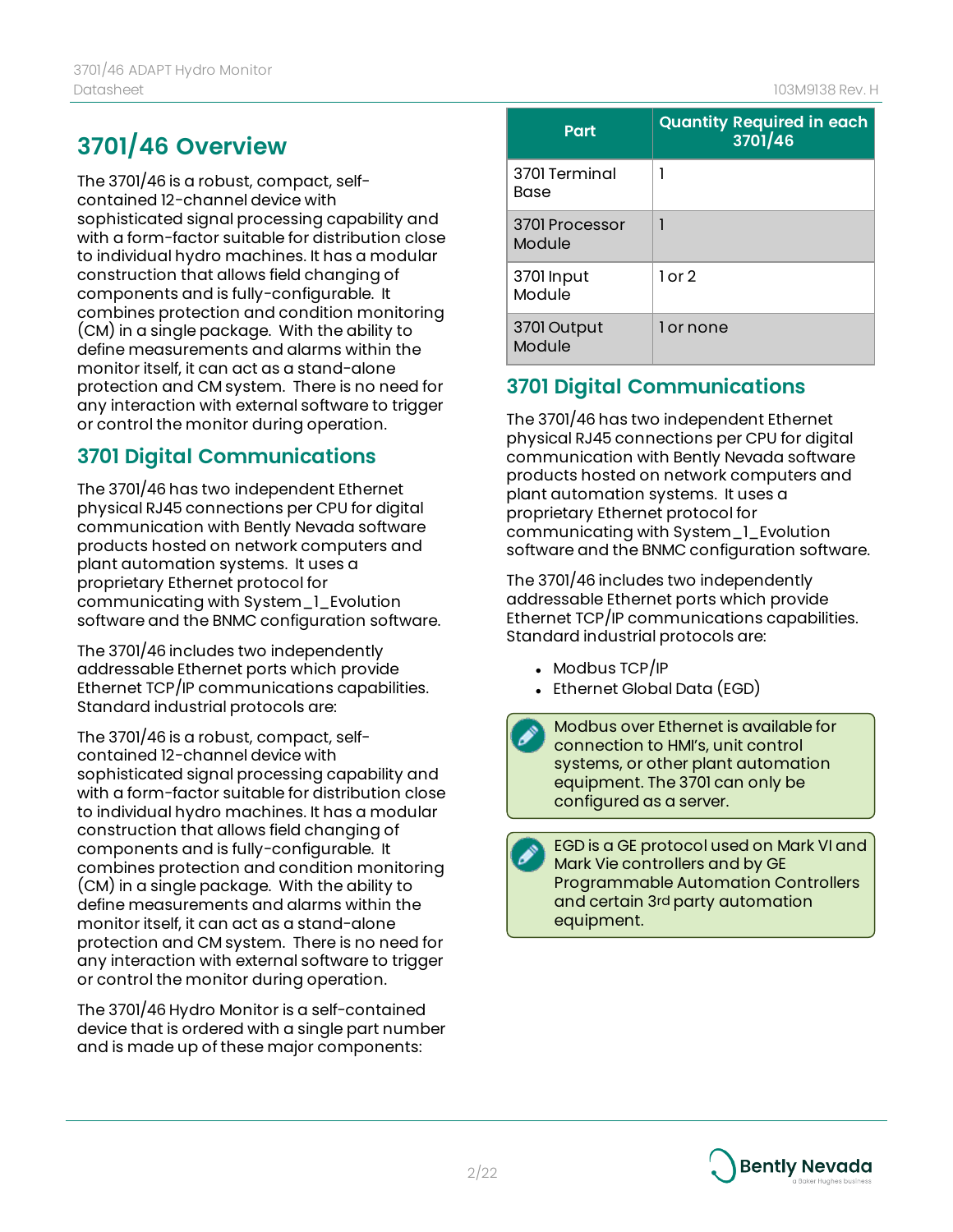## **3701/46 Overview**

The 3701/46 is a robust, compact, selfcontained 12-channel device with sophisticated signal processing capability and with a form-factor suitable for distribution close to individual hydro machines. It has a modular construction that allows field changing of components and is fully-configurable. It combines protection and condition monitoring (CM) in a single package. With the ability to define measurements and alarms within the monitor itself, it can act as a stand-alone protection and CM system. There is no need for any interaction with external software to trigger or control the monitor during operation.

### **3701 Digital Communications**

The 3701/46 has two independent Ethernet physical RJ45 connections per CPU for digital communication with Bently Nevada software products hosted on network computers and plant automation systems. It uses a proprietary Ethernet protocol for communicating with System\_1\_Evolution software and the BNMC configuration software.

The 3701/46 includes two independently addressable Ethernet ports which provide Ethernet TCP/IP communications capabilities. Standard industrial protocols are:

The 3701/46 is a robust, compact, selfcontained 12-channel device with sophisticated signal processing capability and with a form-factor suitable for distribution close to individual hydro machines. It has a modular construction that allows field changing of components and is fully-configurable. It combines protection and condition monitoring (CM) in a single package. With the ability to define measurements and alarms within the monitor itself, it can act as a stand-alone protection and CM system. There is no need for any interaction with external software to trigger or control the monitor during operation.

The 3701/46 Hydro Monitor is a self-contained device that is ordered with a single part number and is made up of these major components:

| Part                     | <b>Quantity Required in each</b><br>3701/46 |
|--------------------------|---------------------------------------------|
| 3701 Terminal<br>Base    |                                             |
| 3701 Processor<br>Module |                                             |
| 3701 Input<br>Module     | $1$ or $2$                                  |
| 3701 Output<br>Module    | 1 or none                                   |

### **3701 Digital Communications**

The 3701/46 has two independent Ethernet physical RJ45 connections per CPU for digital communication with Bently Nevada software products hosted on network computers and plant automation systems. It uses a proprietary Ethernet protocol for communicating with System\_1\_Evolution software and the BNMC configuration software.

The 3701/46 includes two independently addressable Ethernet ports which provide Ethernet TCP/IP communications capabilities. Standard industrial protocols are:

- Modbus  $TCP/IP$
- Ethernet Global Data (EGD)

Modbus over Ethernet is available for connection to HMI's, unit control systems, or other plant automation equipment. The 3701 can only be configured as a server.

EGD is a GE protocol used on Mark VI and Mark Vie controllers and by GE Programmable Automation Controllers and certain 3rd party automation equipment.

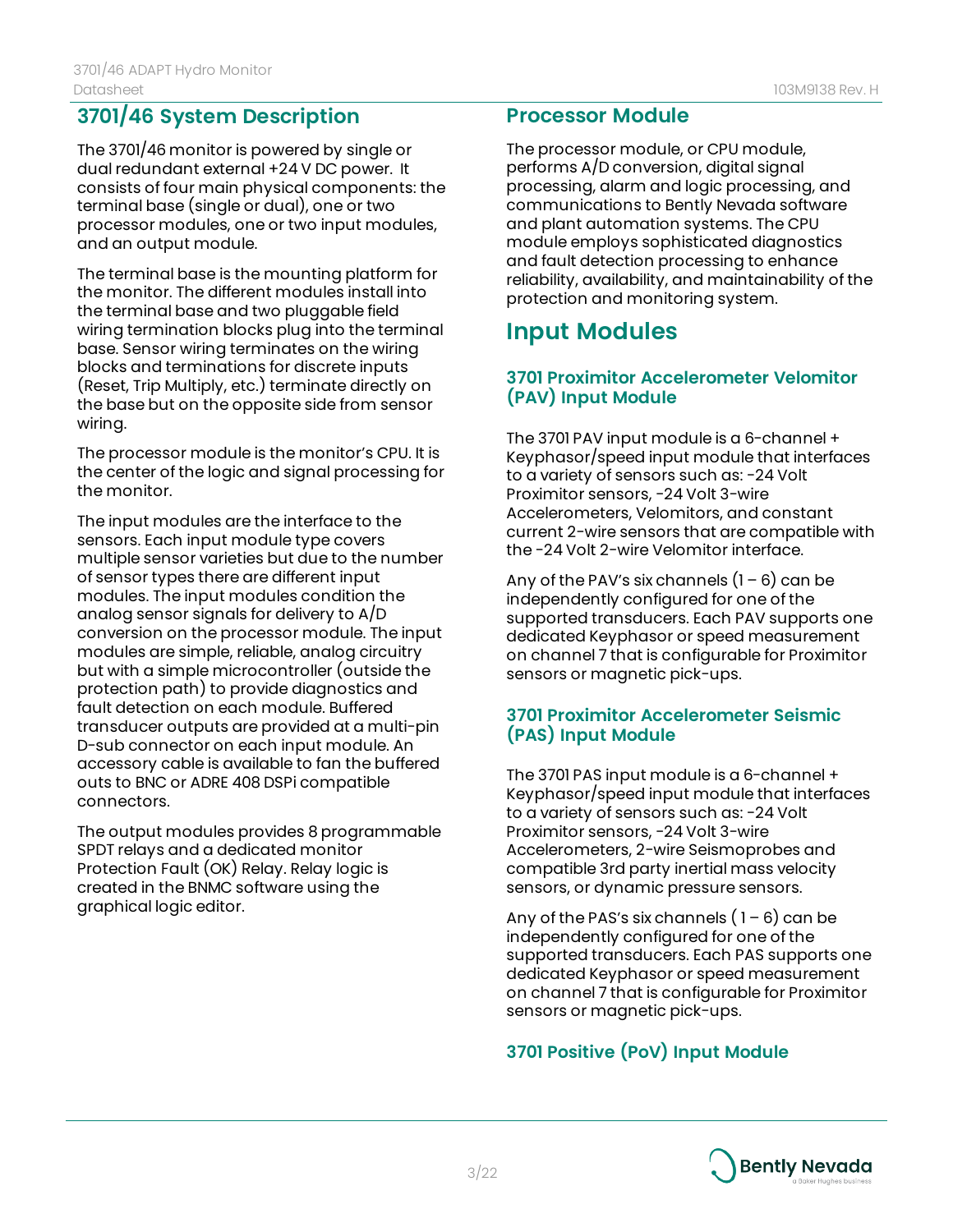### **3701/46 System Description**

The 3701/46 monitor is powered by single or dual redundant external +24 V DC power. It consists of four main physical components: the terminal base (single or dual), one or two processor modules, one or two input modules, and an output module.

The terminal base is the mounting platform for the monitor. The different modules install into the terminal base and two pluggable field wiring termination blocks plug into the terminal base. Sensor wiring terminates on the wiring blocks and terminations for discrete inputs (Reset, Trip Multiply, etc.) terminate directly on the base but on the opposite side from sensor wiring.

The processor module is the monitor's CPU. It is the center of the logic and signal processing for the monitor.

The input modules are the interface to the sensors. Each input module type covers multiple sensor varieties but due to the number of sensor types there are different input modules. The input modules condition the analog sensor signals for delivery to A/D conversion on the processor module. The input modules are simple, reliable, analog circuitry but with a simple microcontroller (outside the protection path) to provide diagnostics and fault detection on each module. Buffered transducer outputs are provided at a multi-pin D-sub connector on each input module. An accessory cable is available to fan the buffered outs to BNC or ADRE 408 DSPi compatible connectors.

The output modules provides 8 programmable SPDT relays and a dedicated monitor Protection Fault (OK) Relay. Relay logic is created in the BNMC software using the graphical logic editor.

#### **Processor Module**

The processor module, or CPU module, performs A/D conversion, digital signal processing, alarm and logic processing, and communications to Bently Nevada software and plant automation systems. The CPU module employs sophisticated diagnostics and fault detection processing to enhance reliability, availability, and maintainability of the protection and monitoring system.

## **Input Modules**

#### **3701 Proximitor Accelerometer Velomitor (PAV) Input Module**

The 3701 PAV input module is a 6-channel + Keyphasor/speed input module that interfaces to a variety of sensors such as: -24 Volt Proximitor sensors, -24 Volt 3-wire Accelerometers, Velomitors, and constant current 2-wire sensors that are compatible with the -24 Volt 2-wire Velomitor interface.

Any of the PAV's six channels  $(1 - 6)$  can be independently configured for one of the supported transducers. Each PAV supports one dedicated Keyphasor or speed measurement on channel 7 that is configurable for Proximitor sensors or magnetic pick-ups.

#### **3701 Proximitor Accelerometer Seismic (PAS) Input Module**

The 3701 PAS input module is a 6-channel + Keyphasor/speed input module that interfaces to a variety of sensors such as: -24 Volt Proximitor sensors, -24 Volt 3-wire Accelerometers, 2-wire Seismoprobes and compatible 3rd party inertial mass velocity sensors, or dynamic pressure sensors.

Any of the PAS's six channels  $(1 - 6)$  can be independently configured for one of the supported transducers. Each PAS supports one dedicated Keyphasor or speed measurement on channel 7 that is configurable for Proximitor sensors or magnetic pick-ups.

#### **3701 Positive (PoV) Input Module**

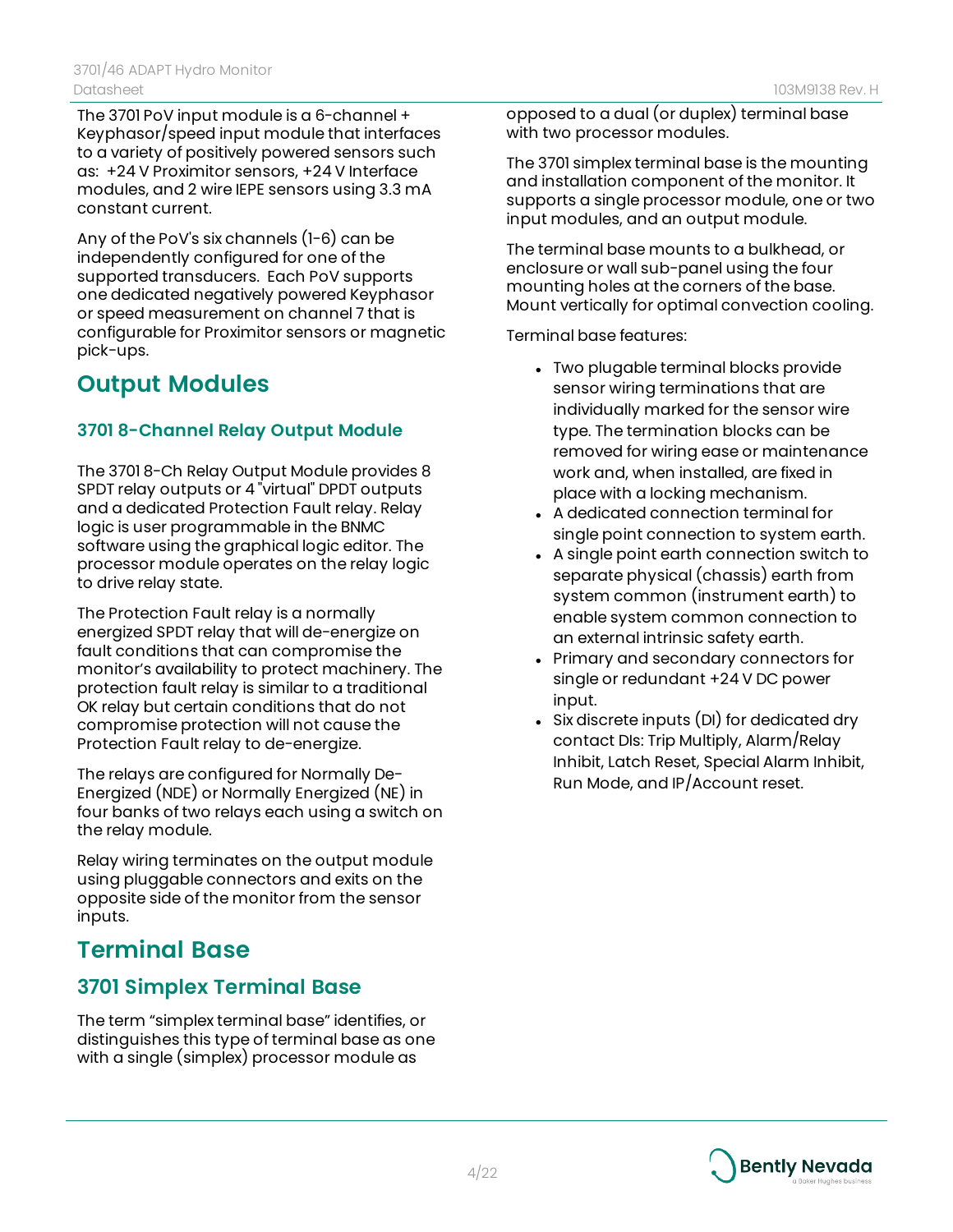The 3701 PoV input module is a 6-channel + Keyphasor/speed input module that interfaces to a variety of positively powered sensors such as: +24 V Proximitor sensors, +24 V Interface modules, and 2 wire IEPE sensors using 3.3 mA constant current.

Any of the PoV's six channels (1-6) can be independently configured for one of the supported transducers. Each PoV supports one dedicated negatively powered Keyphasor or speed measurement on channel 7 that is configurable for Proximitor sensors or magnetic pick-ups.

## **Output Modules**

#### **3701 8-Channel Relay Output Module**

The 3701 8-Ch Relay Output Module provides 8 SPDT relay outputs or 4 "virtual" DPDT outputs and a dedicated Protection Fault relay. Relay logic is user programmable in the BNMC software using the graphical logic editor. The processor module operates on the relay logic to drive relay state.

The Protection Fault relay is a normally energized SPDT relay that will de-energize on fault conditions that can compromise the monitor's availability to protect machinery. The protection fault relay is similar to a traditional OK relay but certain conditions that do not compromise protection will not cause the Protection Fault relay to de-energize.

The relays are configured for Normally De-Energized (NDE) or Normally Energized (NE) in four banks of two relays each using a switch on the relay module.

Relay wiring terminates on the output module using pluggable connectors and exits on the opposite side of the monitor from the sensor inputs.

## **Terminal Base**

### **3701 Simplex Terminal Base**

The term "simplex terminal base" identifies, or distinguishes this type of terminal base as one with a single (simplex) processor module as

opposed to a dual (or duplex) terminal base with two processor modules.

The 3701 simplex terminal base is the mounting and installation component of the monitor. It supports a single processor module, one or two input modules, and an output module.

The terminal base mounts to a bulkhead, or enclosure or wall sub-panel using the four mounting holes at the corners of the base. Mount vertically for optimal convection cooling.

Terminal base features:

- Two plugable terminal blocks provide sensor wiring terminations that are individually marked for the sensor wire type. The termination blocks can be removed for wiring ease or maintenance work and, when installed, are fixed in place with a locking mechanism.
- A dedicated connection terminal for single point connection to system earth.
- A single point earth connection switch to separate physical (chassis) earth from system common (instrument earth) to enable system common connection to an external intrinsic safety earth.
- Primary and secondary connectors for single or redundant +24 V DC power input.
- Six discrete inputs (DI) for dedicated dry contact DIs: Trip Multiply, Alarm/Relay Inhibit, Latch Reset, Special Alarm Inhibit, Run Mode, and IP/Account reset.

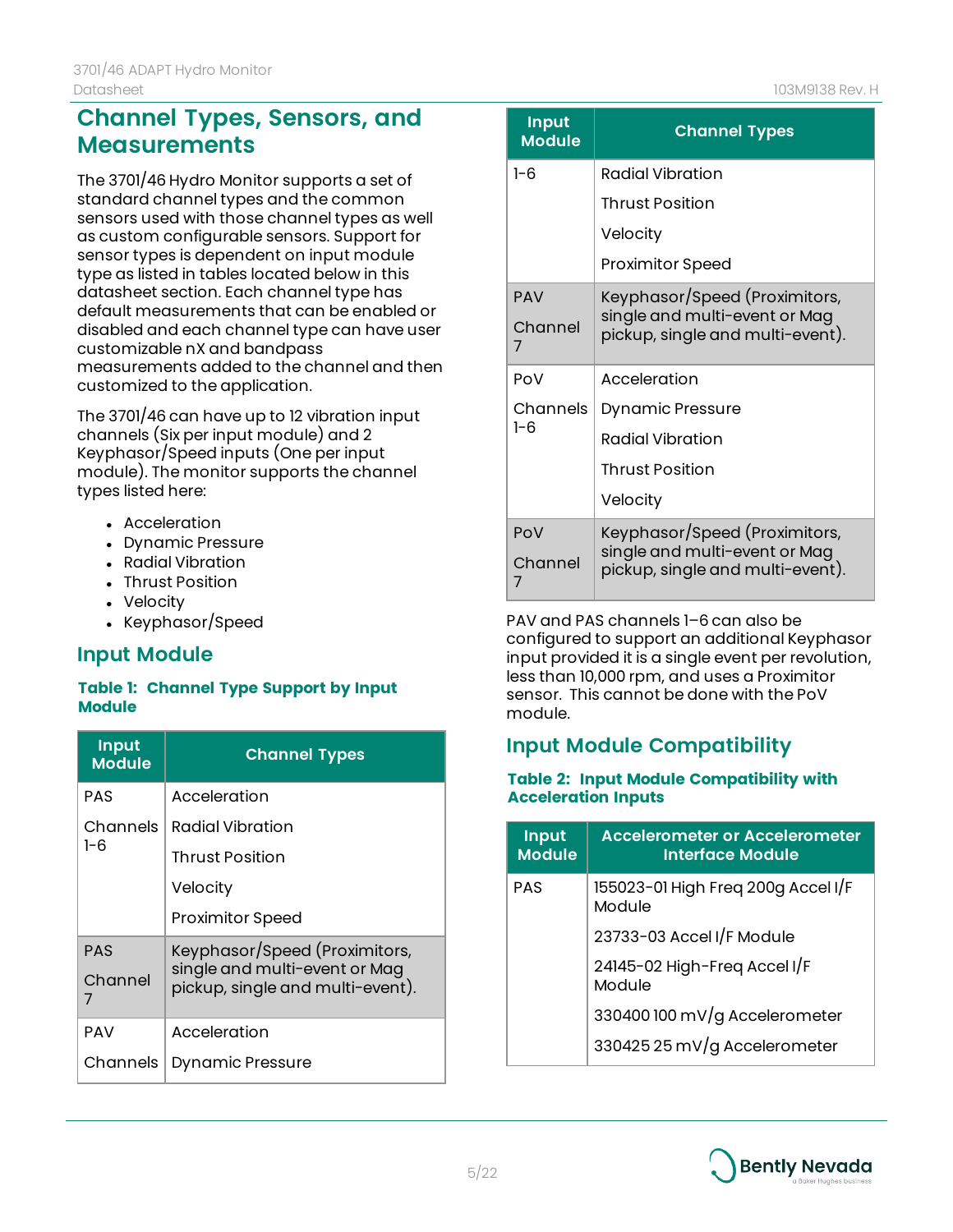## **Channel Types, Sensors, and Measurements**

The 3701/46 Hydro Monitor supports a set of standard channel types and the common sensors used with those channel types as well as custom configurable sensors. Support for sensor types is dependent on input module type as listed in tables located below in this datasheet section. Each channel type has default measurements that can be enabled or disabled and each channel type can have user customizable nX and bandpass measurements added to the channel and then customized to the application.

The 3701/46 can have up to 12 vibration input channels (Six per input module) and 2 Keyphasor/Speed inputs (One per input module). The monitor supports the channel types listed here:

- Acceleration
- Dynamic Pressure
- Radial Vibration
- Thrust Position
- Velocity
- Keyphasor/Speed

### **Input Module**

#### **Table 1: Channel Type Support by Input Module**

| <b>Input</b><br><b>Module</b> | <b>Channel Types</b>                                                                               |  |
|-------------------------------|----------------------------------------------------------------------------------------------------|--|
| <b>PAS</b>                    | Acceleration                                                                                       |  |
| Channels                      | Radial Vibration                                                                                   |  |
| $1 - 6$                       | <b>Thrust Position</b>                                                                             |  |
|                               | Velocity                                                                                           |  |
|                               | <b>Proximitor Speed</b>                                                                            |  |
| <b>PAS</b><br>Channel<br>7    | Keyphasor/Speed (Proximitors,<br>single and multi-event or Mag<br>pickup, single and multi-event). |  |
| <b>PAV</b>                    | Acceleration                                                                                       |  |
| Channels                      | <b>Dynamic Pressure</b>                                                                            |  |

| <u>Input</u><br><b>Module</b> | <b>Channel Types</b>                                              |
|-------------------------------|-------------------------------------------------------------------|
| $1 - 6$                       | Radial Vibration                                                  |
|                               | Thrust Position                                                   |
|                               | Velocity                                                          |
|                               | <b>Proximitor Speed</b>                                           |
| <b>PAV</b>                    | Keyphasor/Speed (Proximitors,                                     |
| Channel<br>7                  | single and multi-event or Mag<br>pickup, single and multi-event). |
| PoV                           | Acceleration                                                      |
| Channels                      | <b>Dynamic Pressure</b>                                           |
| $1 - 6$                       | Radial Vibration                                                  |
|                               | Thrust Position                                                   |
|                               | Velocity                                                          |
| PoV                           | Keyphasor/Speed (Proximitors,                                     |
| Channel<br>7                  | single and multi-event or Mag<br>pickup, single and multi-event). |

PAV and PAS channels 1–6 can also be configured to support an additional Keyphasor input provided it is a single event per revolution, less than 10,000 rpm, and uses a Proximitor sensor. This cannot be done with the PoV module.

### **Input Module Compatibility**

#### **Table 2: Input Module Compatibility with Acceleration Inputs**

| <b>Input</b><br><b>Module</b> | <b>Accelerometer or Accelerometer</b><br>Interface Module |
|-------------------------------|-----------------------------------------------------------|
| <b>PAS</b>                    | 155023-01 High Freq 200g Accel I/F<br>Module              |
|                               | 23733-03 Accel I/F Module                                 |
|                               | 24145-02 High-Freq Accel I/F<br>Module                    |
|                               | 330400 100 mV/g Accelerometer                             |
|                               | 330425 25 mV/g Accelerometer                              |

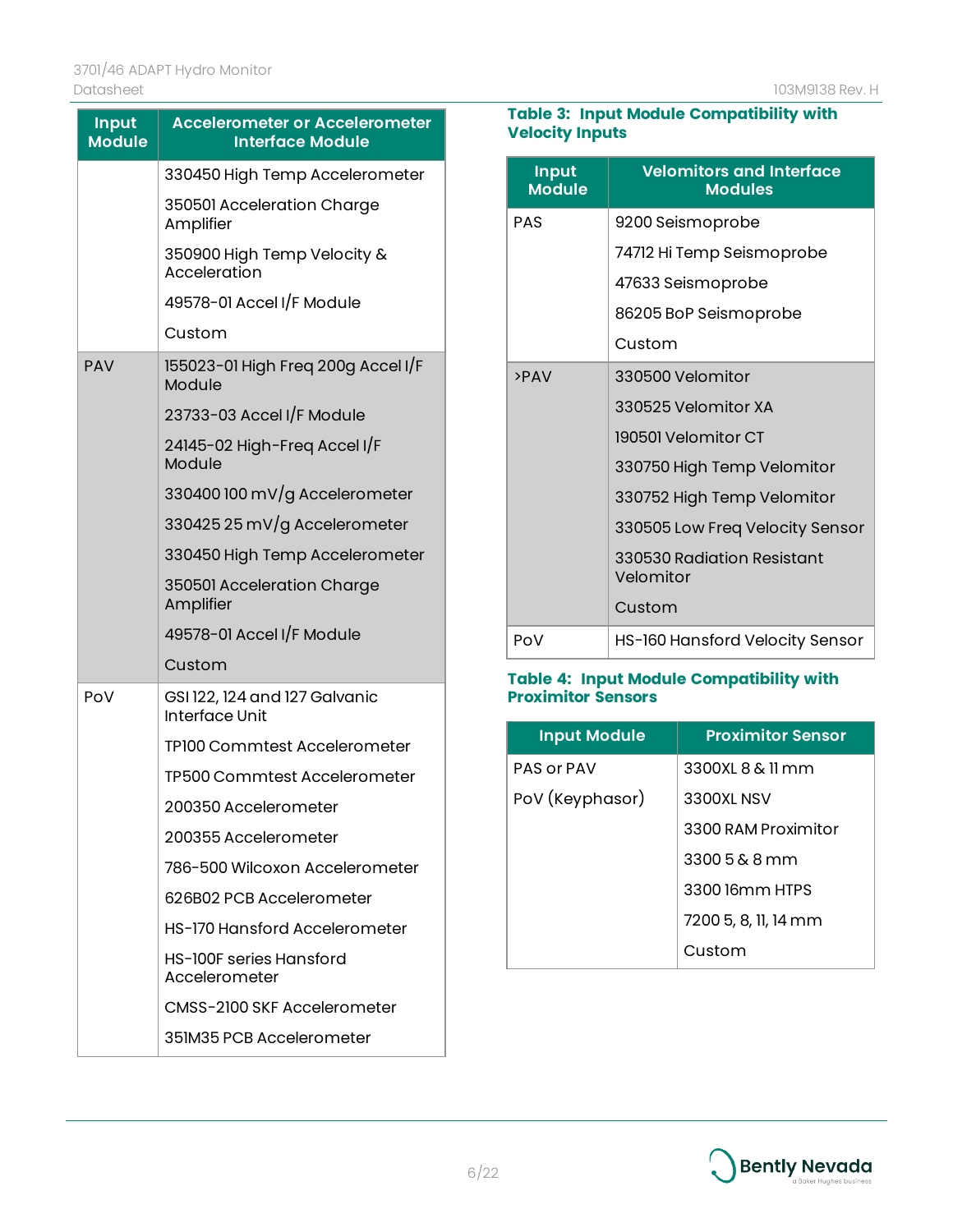| <b>Input</b><br><b>Module</b> | <b>Accelerometer or Accelerometer</b><br><b>Interface Module</b> |  |
|-------------------------------|------------------------------------------------------------------|--|
|                               | 330450 High Temp Accelerometer                                   |  |
|                               | 350501 Acceleration Charge<br>Amplifier                          |  |
|                               | 350900 High Temp Velocity &<br>Acceleration                      |  |
|                               | 49578-01 Accel I/F Module                                        |  |
|                               | Custom                                                           |  |
| <b>PAV</b>                    | 155023-01 High Freq 200g Accel I/F<br>Module                     |  |
|                               | 23733-03 Accel I/F Module                                        |  |
|                               | 24145-02 High-Freq Accel I/F<br>Module                           |  |
|                               | 330400 100 mV/g Accelerometer                                    |  |
|                               | 330425 25 mV/g Accelerometer                                     |  |
|                               | 330450 High Temp Accelerometer                                   |  |
|                               | 350501 Acceleration Charge<br>Amplifier                          |  |
|                               | 49578-01 Accel I/F Module                                        |  |
|                               | Custom                                                           |  |
| PoV                           | GSI 122, 124 and 127 Galvanic<br>Interface Unit                  |  |
|                               | TP100 Commtest Accelerometer                                     |  |
|                               | TP500 Commtest Accelerometer                                     |  |
|                               | 200350 Accelerometer                                             |  |
|                               | 200355 Accelerometer                                             |  |
|                               | 786-500 Wilcoxon Accelerometer                                   |  |
|                               | 626B02 PCB Accelerometer                                         |  |
|                               | HS-170 Hansford Accelerometer                                    |  |
|                               | HS-100F series Hansford<br>Accelerometer                         |  |
|                               | CMSS-2100 SKF Accelerometer                                      |  |
|                               | 351M35 PCB Accelerometer                                         |  |

#### **Table 3: Input Module Compatibility with Velocity Inputs**

L,

| <b>Input</b><br><b>Module</b> | <b>Velomitors and Interface</b><br><b>Modules</b> |
|-------------------------------|---------------------------------------------------|
| <b>PAS</b>                    | 9200 Seismoprobe                                  |
|                               | 74712 Hi Temp Seismoprobe                         |
|                               | 47633 Seismoprobe                                 |
|                               | 86205 BoP Seismoprobe                             |
|                               | Custom                                            |
| >PAV                          | 330500 Velomitor                                  |
|                               | 330525 Velomitor XA                               |
|                               | 190501 Velomitor CT                               |
|                               | 330750 High Temp Velomitor                        |
|                               | 330752 High Temp Velomitor                        |
|                               | 330505 Low Freq Velocity Sensor                   |
|                               | 330530 Radiation Resistant<br>Velomitor           |
|                               | Custom                                            |
| PoV                           | HS-160 Hansford Velocity Sensor                   |

#### **Table 4: Input Module Compatibility with Proximitor Sensors**

| <b>Input Module</b> | <b>Proximitor Sensor</b> |
|---------------------|--------------------------|
| PAS or PAV          | 3300XL 8 & 11 mm         |
| PoV (Keyphasor)     | 3300XL NSV               |
|                     | 3300 RAM Proximitor      |
|                     | $33005\&8 \,mm$          |
|                     | 3300 J6mm HTPS           |
|                     | 7200 5, 8, 11, 14 mm     |
|                     | Custom                   |

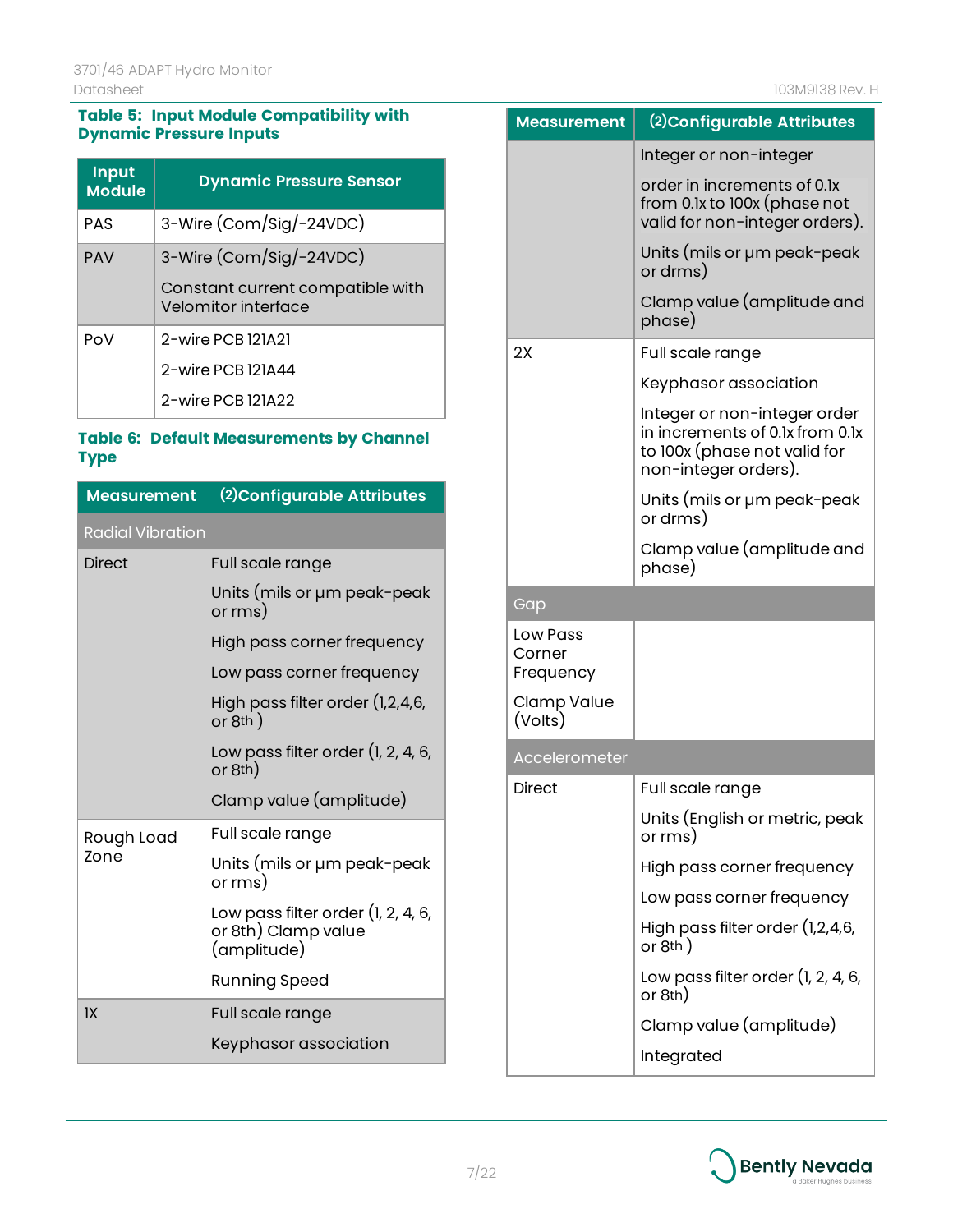#### **Table 5: Input Module Compatibility with Dynamic Pressure Inputs**

| <b>Input</b><br><b>Module</b> | <b>Dynamic Pressure Sensor</b>                          |  |
|-------------------------------|---------------------------------------------------------|--|
| PAS                           | 3-Wire (Com/Sig/-24VDC)                                 |  |
| <b>PAV</b>                    | 3-Wire (Com/Sig/-24VDC)                                 |  |
|                               | Constant current compatible with<br>Velomitor interface |  |
| PoV                           | 2-wire PCB 121A21                                       |  |
|                               | 2-wire PCB 121A44                                       |  |
|                               | 2-wire PCB 121A22                                       |  |

#### **Table 6: Default Measurements by Channel Type**

| Measurement             | (2) Configurable Attributes                                              |  |
|-------------------------|--------------------------------------------------------------------------|--|
| <b>Radial Vibration</b> |                                                                          |  |
| <b>Direct</b>           | Full scale range                                                         |  |
|                         | Units (mils or µm peak-peak<br>or rms)                                   |  |
|                         | High pass corner frequency                                               |  |
|                         | Low pass corner frequency                                                |  |
|                         | High pass filter order (1,2,4,6,<br>or $8th$ )                           |  |
|                         | Low pass filter order (1, 2, 4, 6,<br>or 8th)                            |  |
|                         | Clamp value (amplitude)                                                  |  |
| Rough Load              | Full scale range                                                         |  |
| Zone                    | Units (mils or µm peak-peak<br>or rms)                                   |  |
|                         | Low pass filter order (1, 2, 4, 6,<br>or 8th) Clamp value<br>(amplitude) |  |
|                         | <b>Running Speed</b>                                                     |  |
| 1X                      | Full scale range                                                         |  |
|                         | Keyphasor association                                                    |  |

| Measurement                     | (2) Configurable Attributes                                                                                             |
|---------------------------------|-------------------------------------------------------------------------------------------------------------------------|
|                                 | Integer or non-integer                                                                                                  |
|                                 | order in increments of 0.1x<br>from 0.1x to 100x (phase not<br>valid for non-integer orders).                           |
|                                 | Units (mils or µm peak-peak<br>or drms)                                                                                 |
|                                 | Clamp value (amplitude and<br>phase)                                                                                    |
| 2X                              | Full scale range                                                                                                        |
|                                 | Keyphasor association                                                                                                   |
|                                 | Integer or non-integer order<br>in increments of 0.1x from 0.1x<br>to 100x (phase not valid for<br>non-integer orders). |
|                                 | Units (mils or µm peak-peak<br>or drms)                                                                                 |
|                                 | Clamp value (amplitude and<br>phase)                                                                                    |
| Gap                             |                                                                                                                         |
| Low Pass<br>Corner<br>Frequency |                                                                                                                         |
| Clamp Value<br>(Volts)          |                                                                                                                         |
| Accelerometer                   |                                                                                                                         |
| <b>Direct</b>                   | Full scale range                                                                                                        |
|                                 | Units (English or metric, peak<br>or rms)                                                                               |
|                                 | High pass corner frequency                                                                                              |
|                                 |                                                                                                                         |
|                                 | Low pass corner frequency                                                                                               |
|                                 | High pass filter order (1,2,4,6,<br>or $8th$ )                                                                          |
|                                 | Low pass filter order $(1, 2, 4, 6, 1)$<br>or 8th)                                                                      |
|                                 | Clamp value (amplitude)                                                                                                 |

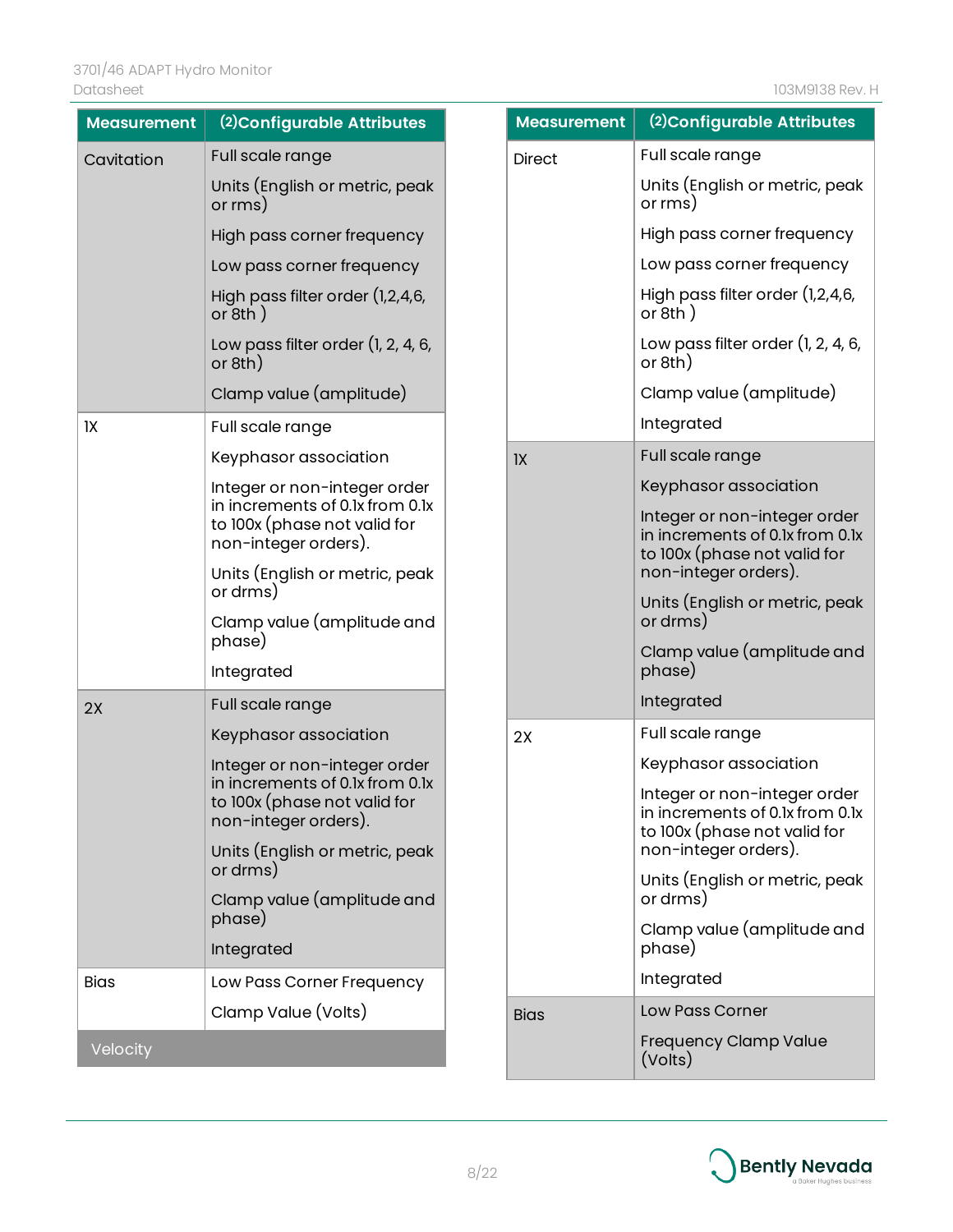j.

| <b>Measurement</b> | (2) Configurable Attributes                                                             | <b>Measurement</b> | (2) Configurable Attributes                                                                     |
|--------------------|-----------------------------------------------------------------------------------------|--------------------|-------------------------------------------------------------------------------------------------|
| Cavitation         | Full scale range                                                                        | <b>Direct</b>      | Full scale range                                                                                |
|                    | Units (English or metric, peak<br>or rms)                                               |                    | Units (English or metric, peak<br>or rms)                                                       |
|                    | High pass corner frequency                                                              |                    | High pass corner frequency                                                                      |
|                    | Low pass corner frequency                                                               |                    | Low pass corner frequency                                                                       |
|                    | High pass filter order (1,2,4,6,<br>or $8th$ )                                          |                    | High pass filter order (1,2,4,6,<br>or $8th$ )                                                  |
|                    | Low pass filter order $(1, 2, 4, 6, 1)$<br>or 8th)                                      |                    | Low pass filter order $(1, 2, 4, 6, 1)$<br>or 8th)                                              |
|                    | Clamp value (amplitude)                                                                 |                    | Clamp value (amplitude)                                                                         |
| IX                 | Full scale range                                                                        |                    | Integrated                                                                                      |
|                    | Keyphasor association                                                                   | 1X                 | Full scale range                                                                                |
|                    | Integer or non-integer order                                                            |                    | Keyphasor association                                                                           |
|                    | in increments of 0.1x from 0.1x<br>to 100x (phase not valid for<br>non-integer orders). |                    | Integer or non-integer order<br>in increments of 0.1x from 0.1x<br>to 100x (phase not valid for |
|                    | Units (English or metric, peak                                                          |                    | non-integer orders).                                                                            |
|                    | or drms)<br>Clamp value (amplitude and                                                  |                    | Units (English or metric, peak<br>or drms)                                                      |
|                    | phase)<br>Integrated                                                                    |                    | Clamp value (amplitude and<br>phase)                                                            |
| 2X                 | Full scale range                                                                        |                    | Integrated                                                                                      |
|                    | Keyphasor association                                                                   | 2X                 | Full scale range                                                                                |
|                    | Integer or non-integer order                                                            |                    | Keyphasor association                                                                           |
|                    | in increments of 0.1x from 0.1x<br>to 100x (phase not valid for<br>non-integer orders). |                    | Integer or non-integer order<br>in increments of 0.1x from 0.1x<br>to 100x (phase not valid for |
|                    | Units (English or metric, peak<br>or drms)                                              |                    | non-integer orders).                                                                            |
|                    | Clamp value (amplitude and<br>phase)                                                    |                    | Units (English or metric, peak<br>or drms)                                                      |
|                    | Integrated                                                                              |                    | Clamp value (amplitude and<br>phase)                                                            |
| <b>Bias</b>        | Low Pass Corner Frequency                                                               |                    | Integrated                                                                                      |
|                    | Clamp Value (Volts)                                                                     | <b>Bias</b>        | Low Pass Corner                                                                                 |
| Velocity           |                                                                                         |                    | Frequency Clamp Value<br>(Volts)                                                                |

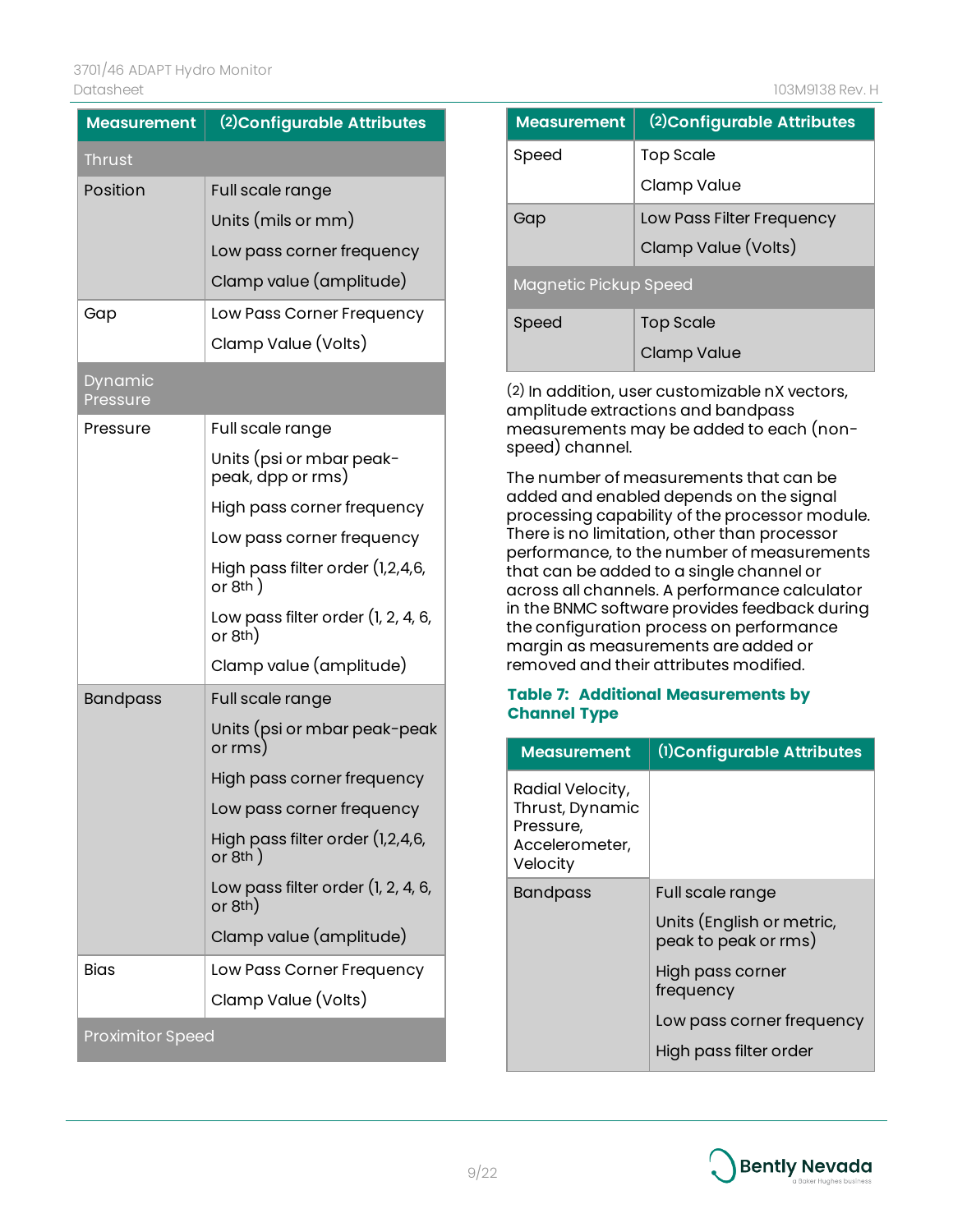| <b>Measurement</b>      | (2) Configurable Attributes                        |  |
|-------------------------|----------------------------------------------------|--|
| <b>Thrust</b>           |                                                    |  |
| Position                | Full scale range                                   |  |
|                         | Units (mils or mm)                                 |  |
|                         | Low pass corner frequency                          |  |
|                         | Clamp value (amplitude)                            |  |
| Gap                     | Low Pass Corner Frequency                          |  |
|                         | Clamp Value (Volts)                                |  |
| Dynamic<br>Pressure     |                                                    |  |
| Pressure                | Full scale range                                   |  |
|                         | Units (psi or mbar peak-<br>peak, dpp or rms)      |  |
|                         | High pass corner frequency                         |  |
|                         | Low pass corner frequency                          |  |
|                         | High pass filter order (1,2,4,6,<br>or $8th$ )     |  |
|                         | Low pass filter order (1, 2, 4, 6,<br>or 8th)      |  |
|                         | Clamp value (amplitude)                            |  |
| <b>Bandpass</b>         | Full scale range                                   |  |
|                         | Units (psi or mbar peak-peak<br>or rms)            |  |
|                         | High pass corner frequency                         |  |
|                         | Low pass corner frequency                          |  |
|                         | High pass filter order (1,2,4,6,<br>or $8th$ )     |  |
|                         | Low pass filter order $(1, 2, 4, 6, 1)$<br>or 8th) |  |
|                         | Clamp value (amplitude)                            |  |
| <b>Bias</b>             | Low Pass Corner Frequency                          |  |
|                         | Clamp Value (Volts)                                |  |
| <b>Proximitor Speed</b> |                                                    |  |

| <b>Measurement</b>    | (2) Configurable Attributes |  |
|-----------------------|-----------------------------|--|
| Speed                 | <b>Top Scale</b>            |  |
|                       | Clamp Value                 |  |
| Gap                   | Low Pass Filter Frequency   |  |
|                       | Clamp Value (Volts)         |  |
| Magnetic Pickup Speed |                             |  |
| Speed                 | <b>Top Scale</b>            |  |
|                       | Clamp Value                 |  |

(2) In addition, user customizable nX vectors, amplitude extractions and bandpass measurements may be added to each (nonspeed) channel.

The number of measurements that can be added and enabled depends on the signal processing capability of the processor module. There is no limitation, other than processor performance, to the number of measurements that can be added to a single channel or across all channels. A performance calculator in the BNMC software provides feedback during the configuration process on performance margin as measurements are added or removed and their attributes modified.

#### **Table 7: Additional Measurements by Channel Type**

| <b>Measurement</b>                                                             | (1) Configurable Attributes                       |
|--------------------------------------------------------------------------------|---------------------------------------------------|
| Radial Velocity,<br>Thrust, Dynamic<br>Pressure,<br>Accelerometer,<br>Velocity |                                                   |
| <b>Bandpass</b>                                                                | Full scale range                                  |
|                                                                                | Units (English or metric,<br>peak to peak or rms) |
|                                                                                | High pass corner<br>frequency                     |
|                                                                                | Low pass corner frequency                         |
|                                                                                | High pass filter order                            |

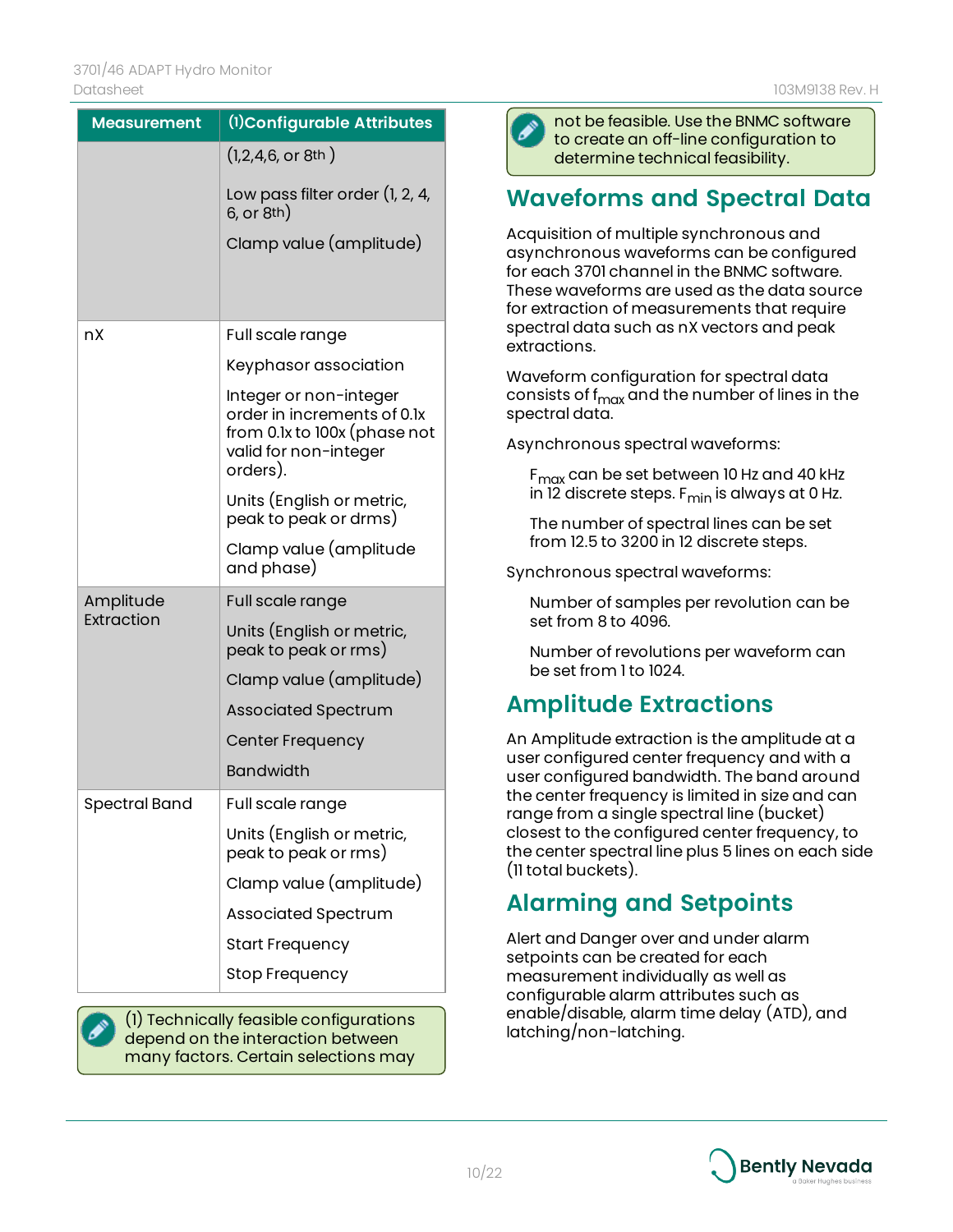| <b>Measurement</b>      | (1) Configurable Attributes                                                                                                |
|-------------------------|----------------------------------------------------------------------------------------------------------------------------|
|                         | $(1, 2, 4, 6,$ or 8th)                                                                                                     |
|                         | Low pass filter order (1, 2, 4,<br>6, or 8th)                                                                              |
|                         | Clamp value (amplitude)                                                                                                    |
|                         |                                                                                                                            |
| nX                      | Full scale range                                                                                                           |
|                         | Keyphasor association                                                                                                      |
|                         | Integer or non-integer<br>order in increments of 0.1x<br>from 0.1x to 100x (phase not<br>valid for non-integer<br>orders). |
|                         | Units (English or metric,<br>peak to peak or drms)                                                                         |
|                         | Clamp value (amplitude<br>and phase)                                                                                       |
| Amplitude<br>Extraction | Full scale range                                                                                                           |
|                         | Units (English or metric,<br>peak to peak or rms)                                                                          |
|                         | Clamp value (amplitude)                                                                                                    |
|                         | <b>Associated Spectrum</b>                                                                                                 |
|                         | Center Frequency                                                                                                           |
|                         | <b>Bandwidth</b>                                                                                                           |
| <b>Spectral Band</b>    | Full scale range                                                                                                           |
|                         | Units (English or metric,<br>peak to peak or rms)                                                                          |
|                         | Clamp value (amplitude)                                                                                                    |
|                         | <b>Associated Spectrum</b>                                                                                                 |
|                         | <b>Start Frequency</b>                                                                                                     |
|                         | <b>Stop Frequency</b>                                                                                                      |

(1) Technically feasible configurations depend on the interaction between many factors. Certain selections may



not be feasible. Use the BNMC software to create an off-line configuration to determine technical feasibility.

## **Waveforms and Spectral Data**

Acquisition of multiple synchronous and asynchronous waveforms can be configured for each 3701 channel in the BNMC software. These waveforms are used as the data source for extraction of measurements that require spectral data such as nX vectors and peak extractions.

Waveform configuration for spectral data consists of f<sub>max</sub> and the number of lines in the spectral data.

Asynchronous spectral waveforms:

 $F_{\text{max}}$  can be set between 10 Hz and 40 kHz in 12 discrete steps. F<sub>min</sub> is always at 0 Hz.

The number of spectral lines can be set from 12.5 to 3200 in 12 discrete steps.

Synchronous spectral waveforms:

Number of samples per revolution can be set from 8 to 4096.

Number of revolutions per waveform can be set from 1 to 1024.

## **Amplitude Extractions**

An Amplitude extraction is the amplitude at a user configured center frequency and with a user configured bandwidth. The band around the center frequency is limited in size and can range from a single spectral line (bucket) closest to the configured center frequency, to the center spectral line plus 5 lines on each side (11 total buckets).

## **Alarming and Setpoints**

Alert and Danger over and under alarm setpoints can be created for each measurement individually as well as configurable alarm attributes such as enable/disable, alarm time delay (ATD), and latching/non-latching.

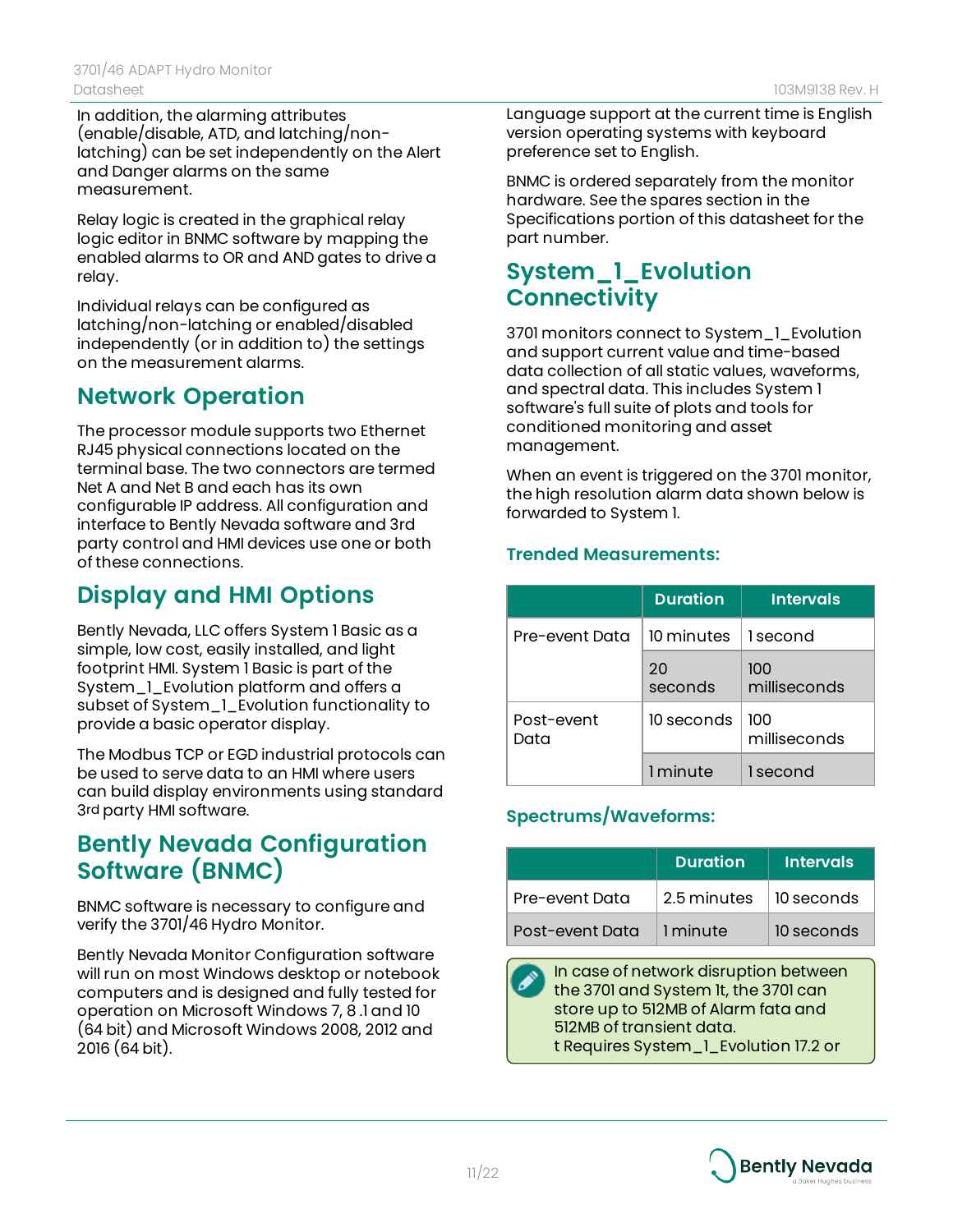In addition, the alarming attributes (enable/disable, ATD, and latching/nonlatching) can be set independently on the Alert and Danger alarms on the same measurement.

Relay logic is created in the graphical relay logic editor in BNMC software by mapping the enabled alarms to OR and AND gates to drive a relay.

Individual relays can be configured as latching/non-latching or enabled/disabled independently (or in addition to) the settings on the measurement alarms.

## **Network Operation**

The processor module supports two Ethernet RJ45 physical connections located on the terminal base. The two connectors are termed Net A and Net B and each has its own configurable IP address. All configuration and interface to Bently Nevada software and 3rd party control and HMI devices use one or both of these connections.

## **Display and HMI Options**

Bently Nevada, LLC offers System 1 Basic as a simple, low cost, easily installed, and light footprint HMI. System 1 Basic is part of the System\_1\_Evolution platform and offers a subset of System\_1\_Evolution functionality to provide a basic operator display.

The Modbus TCP or EGD industrial protocols can be used to serve data to an HMI where users can build display environments using standard 3rd party HMI software.

## **Bently Nevada Configuration Software (BNMC)**

BNMC software is necessary to configure and verify the 3701/46 Hydro Monitor.

Bently Nevada Monitor Configuration software will run on most Windows desktop or notebook computers and is designed and fully tested for operation on Microsoft Windows 7, 8 .1 and 10 (64 bit) and Microsoft Windows 2008, 2012 and 2016 (64 bit).

Language support at the current time is English version operating systems with keyboard preference set to English.

BNMC is ordered separately from the monitor hardware. See the spares section in the Specifications portion of this datasheet for the part number.

## **System\_1\_Evolution Connectivity**

3701 monitors connect to System\_1\_Evolution and support current value and time-based data collection of all static values, waveforms, and spectral data. This includes System 1 software's full suite of plots and tools for conditioned monitoring and asset management.

When an event is triggered on the 3701 monitor, the high resolution alarm data shown below is forwarded to System 1.

#### **Trended Measurements:**

|                    | <b>Duration</b>          | <b>Intervals</b>    |
|--------------------|--------------------------|---------------------|
| Pre-event Data     | 10 minutes $\Box$ second |                     |
|                    | 20<br>seconds            | 100<br>milliseconds |
| Post-event<br>Data | 10 seconds               | 100<br>milliseconds |
|                    | 1 minute                 | 1 second            |

### **Spectrums/Waveforms:**

|                 | <b>Duration</b> | <b>Intervals</b> |
|-----------------|-----------------|------------------|
| Pre-event Data  | 2.5 minutes     | 10 seconds       |
| Post-event Data | 1 minute        | 10 seconds       |

In case of network disruption between the 3701 and System 1t, the 3701 can store up to 512MB of Alarm fata and 512MB of transient data. t Requires System\_1\_Evolution 17.2 or

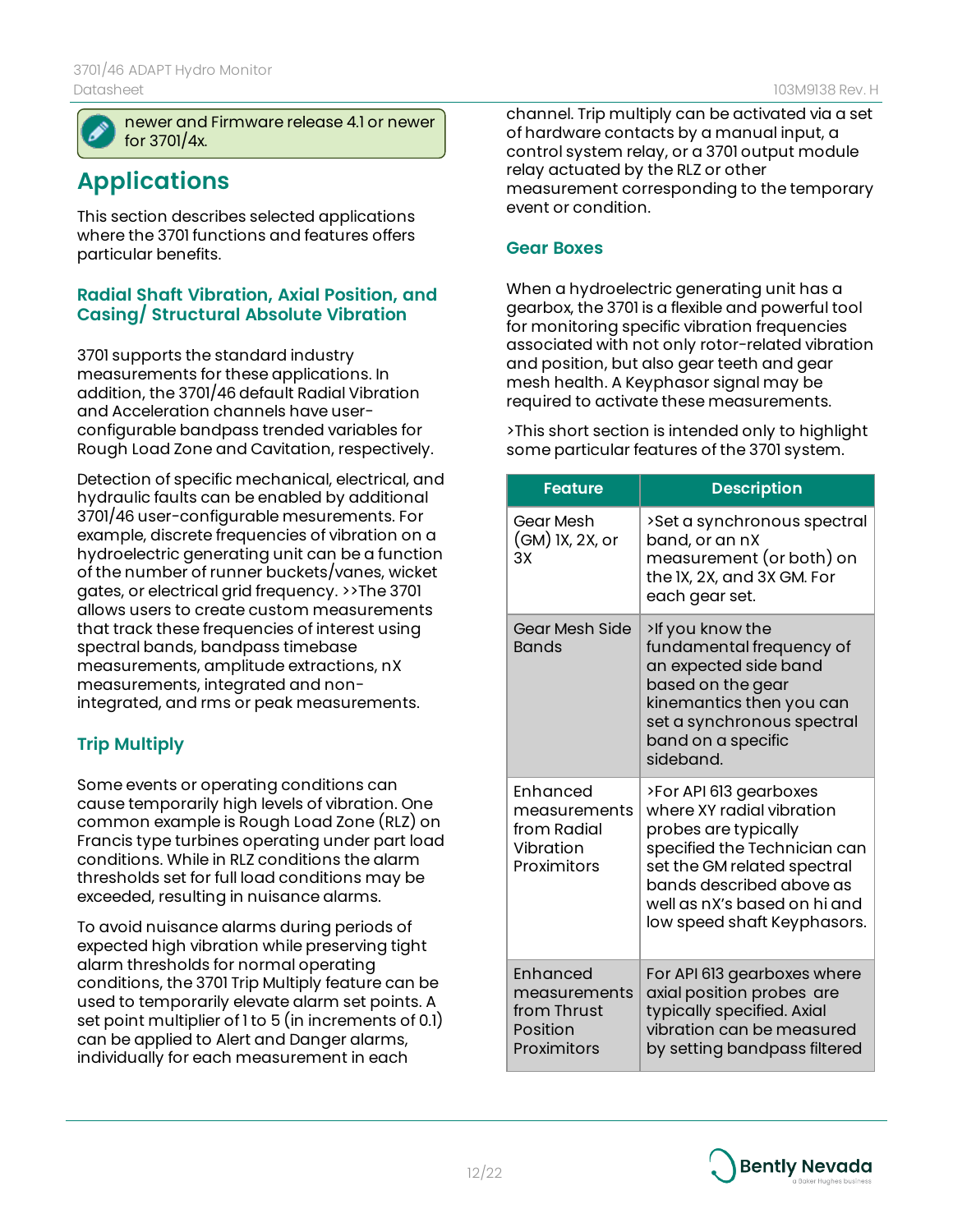

newer and Firmware release 4.1 or newer for 3701/4x.

## **Applications**

This section describes selected applications where the 3701 functions and features offers particular benefits.

#### **Radial Shaft Vibration, Axial Position, and Casing/ Structural Absolute Vibration**

3701 supports the standard industry measurements for these applications. In addition, the 3701/46 default Radial Vibration and Acceleration channels have userconfigurable bandpass trended variables for Rough Load Zone and Cavitation, respectively.

Detection of specific mechanical, electrical, and hydraulic faults can be enabled by additional 3701/46 user-configurable mesurements. For example, discrete frequencies of vibration on a hydroelectric generating unit can be a function of the number of runner buckets/vanes, wicket gates, or electrical grid frequency. >>The 3701 allows users to create custom measurements that track these frequencies of interest using spectral bands, bandpass timebase measurements, amplitude extractions, nX measurements, integrated and nonintegrated, and rms or peak measurements.

#### **Trip Multiply**

Some events or operating conditions can cause temporarily high levels of vibration. One common example is Rough Load Zone (RLZ) on Francis type turbines operating under part load conditions. While in RLZ conditions the alarm thresholds set for full load conditions may be exceeded, resulting in nuisance alarms.

To avoid nuisance alarms during periods of expected high vibration while preserving tight alarm thresholds for normal operating conditions, the 3701 Trip Multiply feature can be used to temporarily elevate alarm set points. A set point multiplier of 1 to 5 (in increments of 0.1) can be applied to Alert and Danger alarms, individually for each measurement in each

channel. Trip multiply can be activated via a set of hardware contacts by a manual input, a control system relay, or a 3701 output module relay actuated by the RLZ or other measurement corresponding to the temporary event or condition.

#### **Gear Boxes**

When a hydroelectric generating unit has a gearbox, the 3701 is a flexible and powerful tool for monitoring specific vibration frequencies associated with not only rotor-related vibration and position, but also gear teeth and gear mesh health. A Keyphasor signal may be required to activate these measurements.

>This short section is intended only to highlight some particular features of the 3701 system.

| <b>Feature</b>                                                      | <b>Description</b>                                                                                                                                                                                                                    |
|---------------------------------------------------------------------|---------------------------------------------------------------------------------------------------------------------------------------------------------------------------------------------------------------------------------------|
|                                                                     |                                                                                                                                                                                                                                       |
| Gear Mesh<br>(GM) IX, 2X, or<br>ЗX                                  | >Set a synchronous spectral<br>band, or an nX<br>measurement (or both) on<br>the IX, 2X, and 3X GM. For<br>each gear set.                                                                                                             |
| Gear Mesh Side<br><b>Bands</b>                                      | >If you know the<br>fundamental frequency of<br>an expected side band<br>based on the gear<br>kinemantics then you can<br>set a synchronous spectral<br>band on a specific<br>sideband.                                               |
| Fnhanced<br>measurements<br>from Radial<br>Vibration<br>Proximitors | >For API 613 gearboxes<br>where XY radial vibration<br>probes are typically<br>specified the Technician can<br>set the GM related spectral<br>bands described above as<br>well as nX's based on hi and<br>low speed shaft Keyphasors. |
| Enhanced<br>measurements<br>from Thrust<br>Position<br>Proximitors  | For API 613 gearboxes where<br>axial position probes are<br>typically specified. Axial<br>vibration can be measured<br>by setting bandpass filtered                                                                                   |

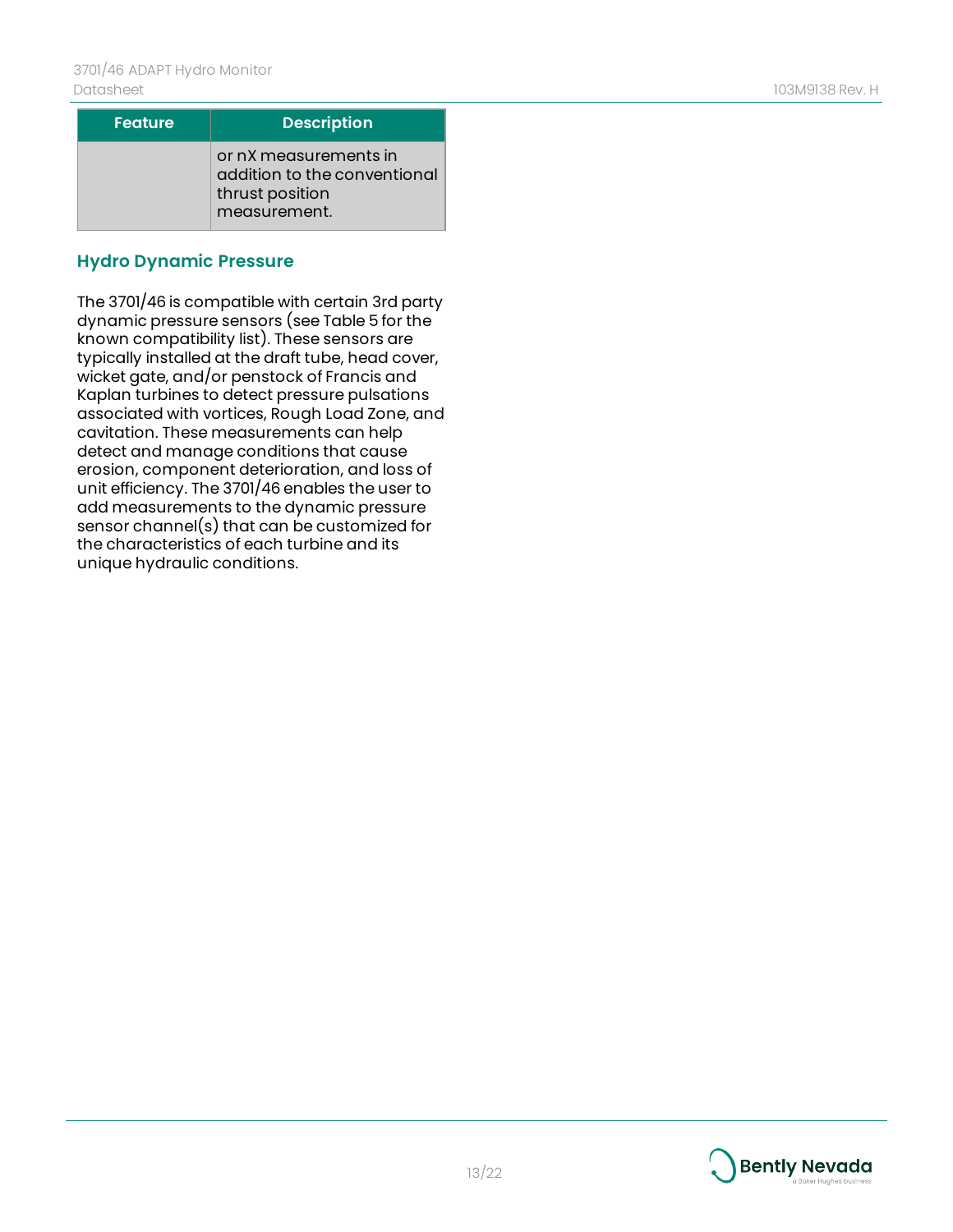| <b>Feature</b> | <b>Description</b>                                                                       |
|----------------|------------------------------------------------------------------------------------------|
|                | or nX measurements in<br>addition to the conventional<br>thrust position<br>measurement. |

#### **Hydro Dynamic Pressure**

The 3701/46 is compatible with certain 3rd party dynamic pressure sensors (see Table 5 for the known compatibility list). These sensors are typically installed at the draft tube, head cover, wicket gate, and/or penstock of Francis and Kaplan turbines to detect pressure pulsations associated with vortices, Rough Load Zone, and cavitation. These measurements can help detect and manage conditions that cause erosion, component deterioration, and loss of unit efficiency. The 3701/46 enables the user to add measurements to the dynamic pressure sensor channel(s) that can be customized for the characteristics of each turbine and its unique hydraulic conditions.

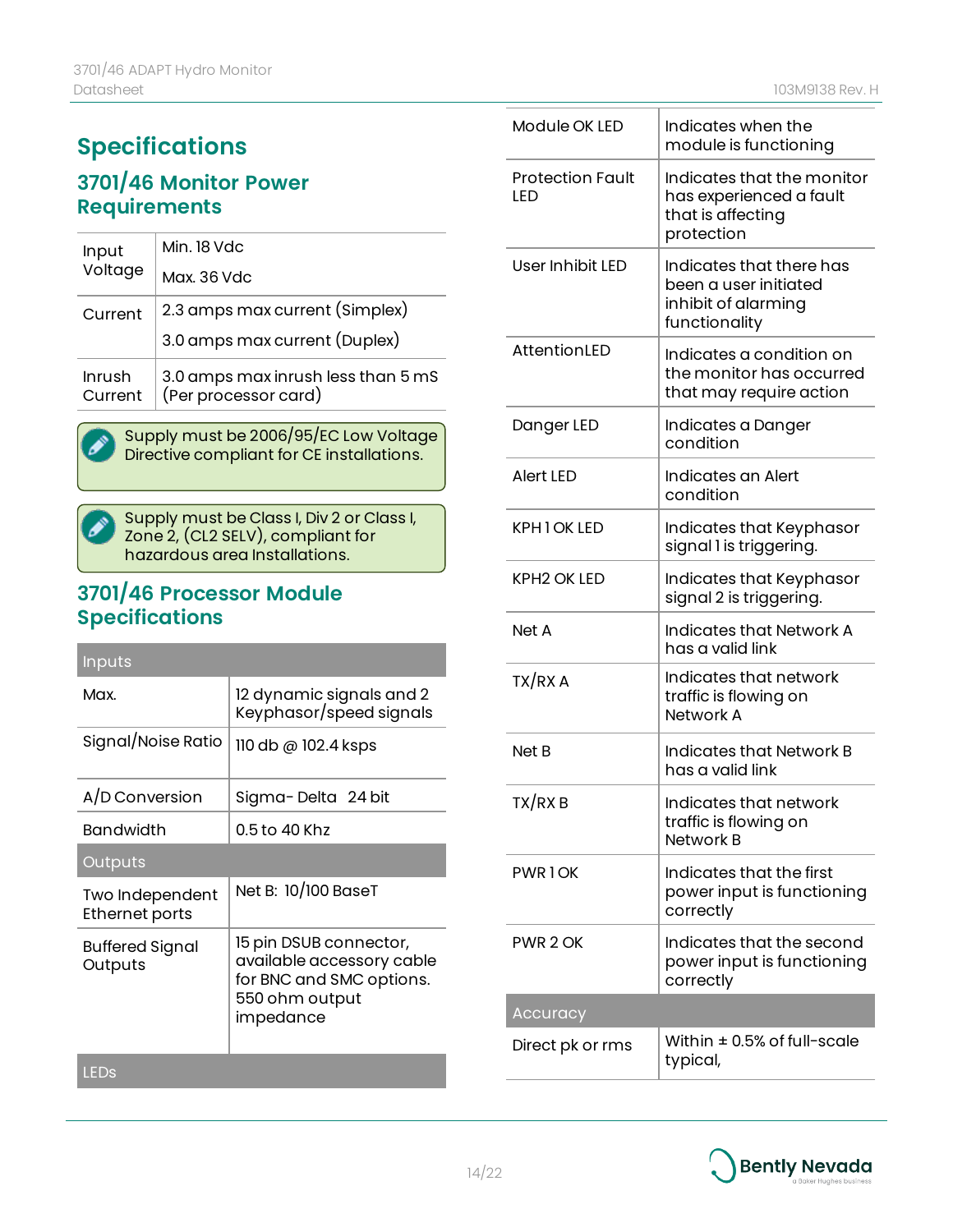## **Specifications**

### **3701/46 Monitor Power Requirements**

| Input             | Min. 18 Vdc                                                |  |
|-------------------|------------------------------------------------------------|--|
| Voltage           | Max. 36 Vdc                                                |  |
| Current           | 2.3 amps max current (Simplex)                             |  |
|                   | 3.0 amps max current (Duplex)                              |  |
| Inrush<br>Current | 3.0 amps max inrush less than 5 mS<br>(Per processor card) |  |

Supply must be 2006/95/EC Low Voltage 2 Directive compliant for CE installations.

Supply must be Class I, Div 2 or Class I,  $\boldsymbol{\mathcal{S}}$  . Zone 2, (CL2 SELV), compliant for hazardous area Installations.

### **3701/46 Processor Module Specifications**

| <b>Inputs</b>                     |                                                                                                                |
|-----------------------------------|----------------------------------------------------------------------------------------------------------------|
| Max.                              | 12 dynamic signals and 2<br>Keyphasor/speed signals                                                            |
| Signal/Noise Ratio                | $110$ db @ $102.4$ ksps                                                                                        |
| A/D Conversion                    | Sigma-Delta 24 bit                                                                                             |
| Bandwidth                         | 0.5 to 40 Khz                                                                                                  |
| Outputs                           |                                                                                                                |
| Two Independent<br>Ethernet ports | Net B: 10/100 BaseT                                                                                            |
| Buffered Signal<br>Outputs        | 15 pin DSUB connector,<br>available accessory cable<br>for BNC and SMC options.<br>550 ohm output<br>impedance |
| LEDs                              |                                                                                                                |

| Module OK LED                  | Indicates when the<br>module is functioning                                               |
|--------------------------------|-------------------------------------------------------------------------------------------|
| <b>Protection Fault</b><br>LED | Indicates that the monitor<br>has experienced a fault<br>that is affecting<br>protection  |
| User Inhibit LED               | Indicates that there has<br>been a user initiated<br>inhibit of alarming<br>functionality |
| AttentionLED                   | Indicates a condition on<br>the monitor has occurred<br>that may require action           |
| Danger LED                     | Indicates a Danger<br>condition                                                           |
| <b>Alert LED</b>               | Indicates an Alert<br>condition                                                           |
| KPH 1 OK LED                   | Indicates that Keyphasor<br>signal I is triggering.                                       |
| <b>KPH2 OK LED</b>             | Indicates that Keyphasor<br>signal 2 is triggering.                                       |
| Net A                          | <b>Indicates that Network A</b><br>has a valid link                                       |
| TX/RX A                        | Indicates that network<br>traffic is flowing on<br>Network A                              |
| Net B                          | Indicates that Network B<br>has a valid link                                              |
| TX/RX B                        | Indicates that network<br>traffic is flowing on<br>Network B                              |
| <b>PWR1OK</b>                  | Indicates that the first<br>power input is functioning<br>correctly                       |
| PWR 2 OK                       | Indicates that the second<br>power input is functioning<br>correctly                      |
| Accuracy                       |                                                                                           |
| Direct pk or rms               | Within $\pm$ 0.5% of full-scale<br>typical,                                               |

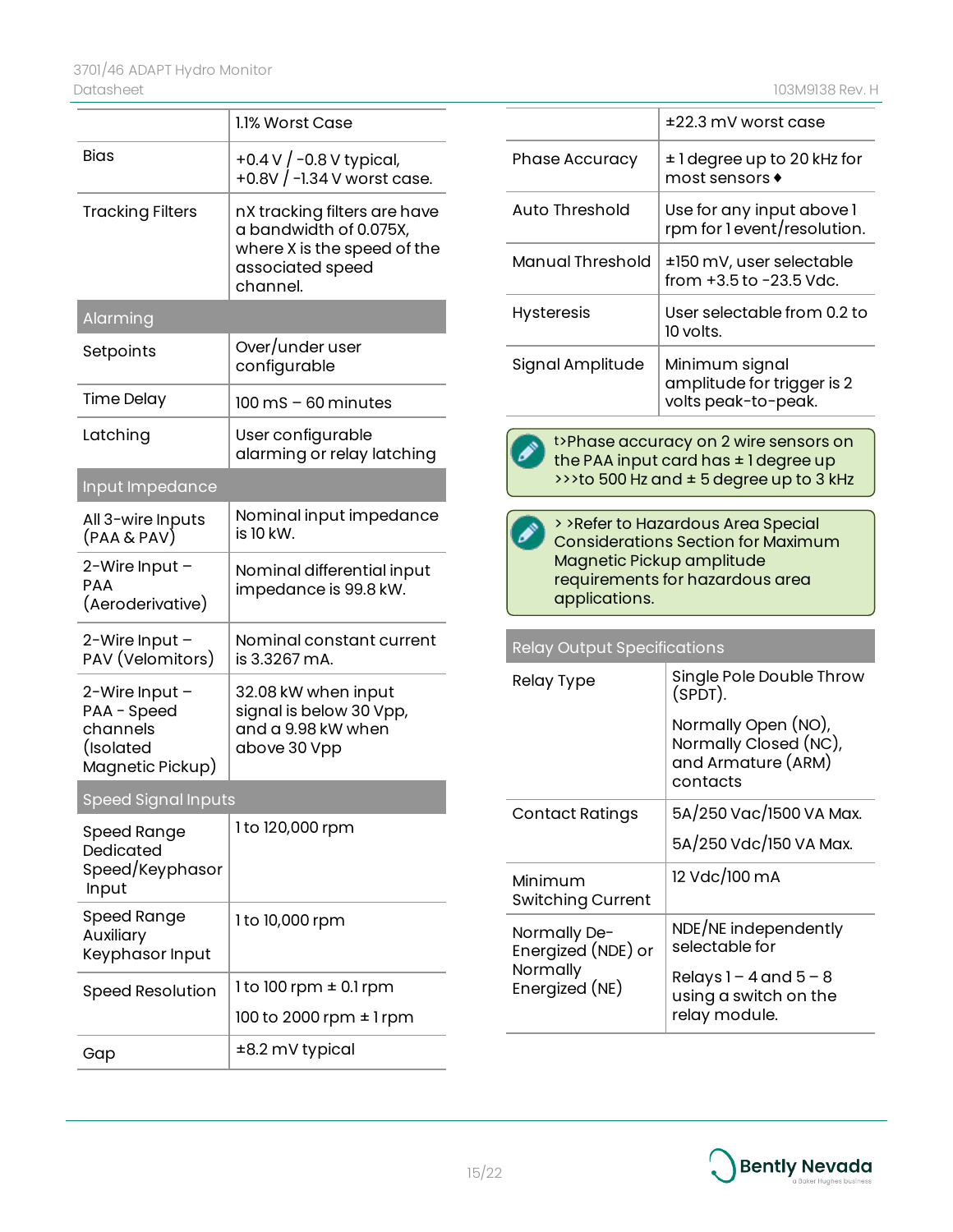| 03M9138 Rev. H |  |  |
|----------------|--|--|
|----------------|--|--|

|                                                                            | 1.1% Worst Case                                                                                                       |
|----------------------------------------------------------------------------|-----------------------------------------------------------------------------------------------------------------------|
| <b>Bias</b>                                                                | +0.4 V / -0.8 V typical,<br>+0.8V / -1.34 V worst case.                                                               |
| <b>Tracking Filters</b>                                                    | nX tracking filters are have<br>a bandwidth of 0.075X,<br>where X is the speed of the<br>associated speed<br>channel. |
| Alarming                                                                   |                                                                                                                       |
| Setpoints                                                                  | Over/under user<br>configurable                                                                                       |
| <b>Time Delay</b>                                                          | $100 \text{ ms} - 60 \text{ minutes}$                                                                                 |
| Latching                                                                   | User configurable<br>alarming or relay latching                                                                       |
| Input Impedance                                                            |                                                                                                                       |
| All 3-wire Inputs<br>(PAA & PAV)                                           | Nominal input impedance<br>is 10 kW.                                                                                  |
| 2-Wire Input -<br>PAA<br>(Aeroderivative)                                  | Nominal differential input<br>impedance is 99.8 kW.                                                                   |
| 2-Wire Input -<br>PAV (Velomitors)                                         | Nominal constant current<br>is 3.3267 mA.                                                                             |
| 2-Wire Input -<br>PAA - Speed<br>channels<br>(Isolated<br>Magnetic Pickup) | 32.08 kW when input<br>signal is below 30 Vpp,<br>and a 9.98 kW when<br>above 30 Vpp                                  |
| Speed Signal Inputs                                                        |                                                                                                                       |
| Speed Range<br>Dedicated<br>Speed/Keyphasor<br>Input                       | 1 to 120,000 rpm                                                                                                      |
| <b>Speed Range</b><br>Auxiliary<br>Keyphasor Input                         | 1 to 10,000 rpm                                                                                                       |
| Speed Resolution                                                           | 1 to 100 rpm $\pm$ 0.1 rpm                                                                                            |
|                                                                            | 100 to 2000 rpm ± 1 rpm                                                                                               |
| Gap                                                                        | ±8.2 mV typical                                                                                                       |

|                       | $±22.3$ mV worst case                                               |
|-----------------------|---------------------------------------------------------------------|
| <b>Phase Accuracy</b> | ± 1 degree up to 20 kHz for<br>most sensors $\bullet$               |
| Auto Threshold        | Use for any input above 1<br>rpm for 1 event/resolution.            |
| Manual Threshold      | ±150 mV, user selectable<br>from $+3.5$ to $-23.5$ Vdc.             |
| <b>Hysteresis</b>     | User selectable from 0.2 to<br>10 volts.                            |
| Signal Amplitude      | Minimum signal<br>amplitude for trigger is 2<br>volts peak-to-peak. |
|                       |                                                                     |



t>Phase accuracy on 2 wire sensors on the PAA input card has ± 1 degree up >>>to 500 Hz and ± 5 degree up to 3 kHz

| > > Refer to Hazardous Area Special       |
|-------------------------------------------|
| <b>Considerations Section for Maximum</b> |
| Magnetic Pickup amplitude                 |
| requirements for hazardous area           |
| applications.                             |

Relay Output Specifications

| Relay Type                                                       | Single Pole Double Throw<br>$(SPDT)$ .                                         |
|------------------------------------------------------------------|--------------------------------------------------------------------------------|
|                                                                  | Normally Open (NO),<br>Normally Closed (NC),<br>and Armature (ARM)<br>contacts |
| Contact Ratings                                                  | 5A/250 Vac/1500 VA Max.                                                        |
|                                                                  | 5A/250 Vdc/150 VA Max.                                                         |
| Minimum<br><b>Switching Current</b>                              | 12 Vdc/100 mA                                                                  |
| Normally De-<br>Energized (NDE) or<br>Normally<br>Energized (NE) | NDE/NE independently<br>selectable for                                         |
|                                                                  | Relays $1 - 4$ and $5 - 8$<br>using a switch on the<br>relay module.           |

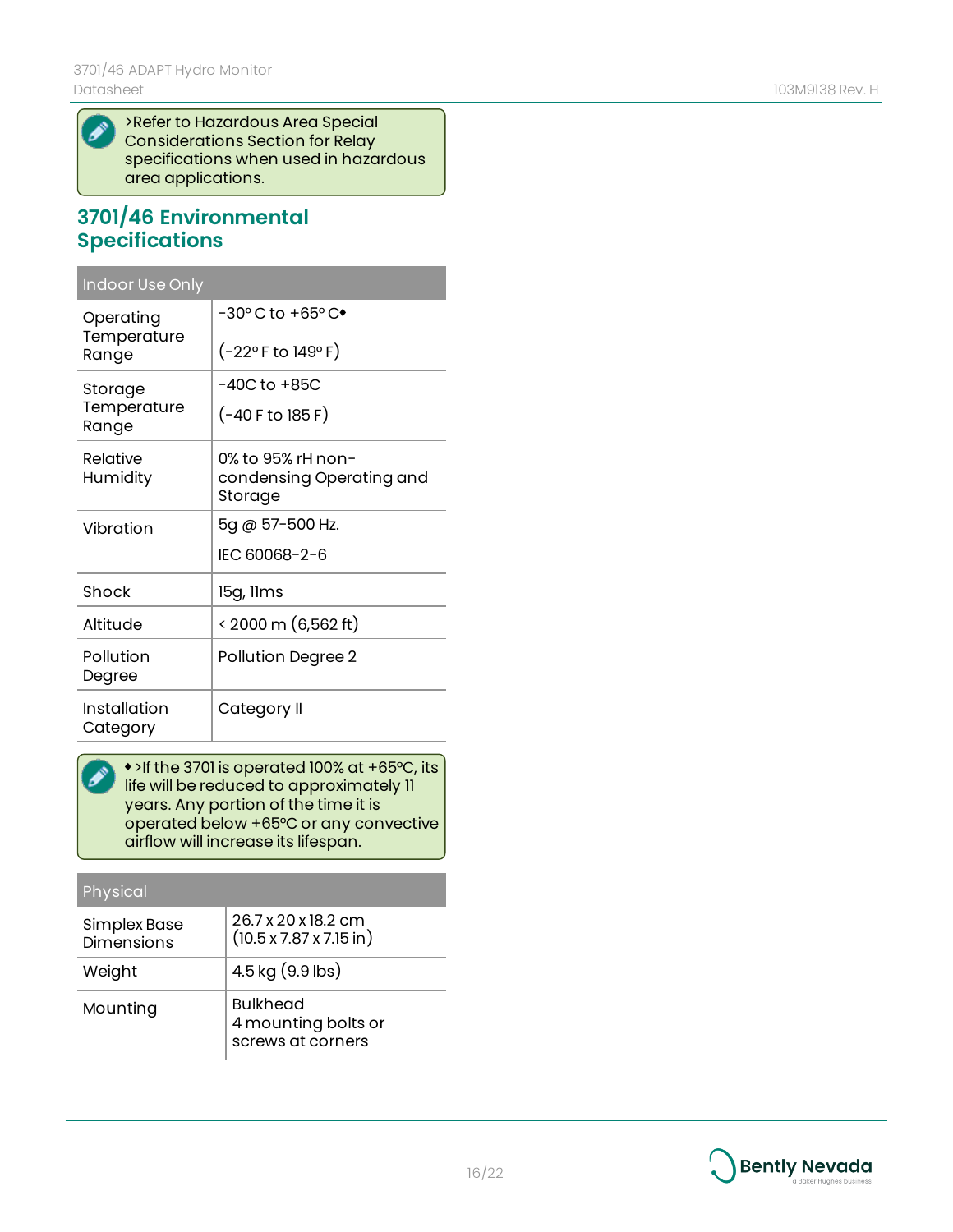$\boldsymbol{\mathscr{P}}$ 

>Refer to Hazardous Area Special Considerations Section for Relay specifications when used in hazardous area applications.

### **3701/46 Environmental Specifications**

| <b>Indoor Use Only</b>            |                                                          |
|-----------------------------------|----------------------------------------------------------|
| Operating<br>Temperature<br>Range | -30° C to +65° C <sup>+</sup>                            |
|                                   | $(-22^{\circ}$ F to 149° F)                              |
| Storage<br>Temperature<br>Range   | -40C to +85C                                             |
|                                   | (-40 F to 185 F)                                         |
| Relative<br>Humidity              | 0% to 95% rH non-<br>condensing Operating and<br>Storage |
| Vibration                         | 5g @ 57-500 Hz.                                          |
|                                   | IFC 60068-2-6                                            |
| Shock                             | 15g, Ilms                                                |
| Altitude                          | < 2000 m (6,562 ft)                                      |
| Pollution<br>Degree               | <b>Pollution Degree 2</b>                                |
| Installation<br>Category          | Category II                                              |

 $\bullet$  >If the 3701 is operated 100% at +65°C, its  $\mathbf{z}_1$ life will be reduced to approximately 11 years. Any portion of the time it is operated below +65°C or any convective airflow will increase its lifespan.

| Physical                          |                                                                    |
|-----------------------------------|--------------------------------------------------------------------|
| Simplex Base<br><b>Dimensions</b> | 26.7 x 20 x 18.2 cm<br>$(10.5 \times 7.87 \times 7.15 \text{ in})$ |
| Weight                            | 4.5 kg (9.9 lbs)                                                   |
| Mounting                          | <b>Bulkhead</b><br>4 mounting bolts or<br>screws at corners        |

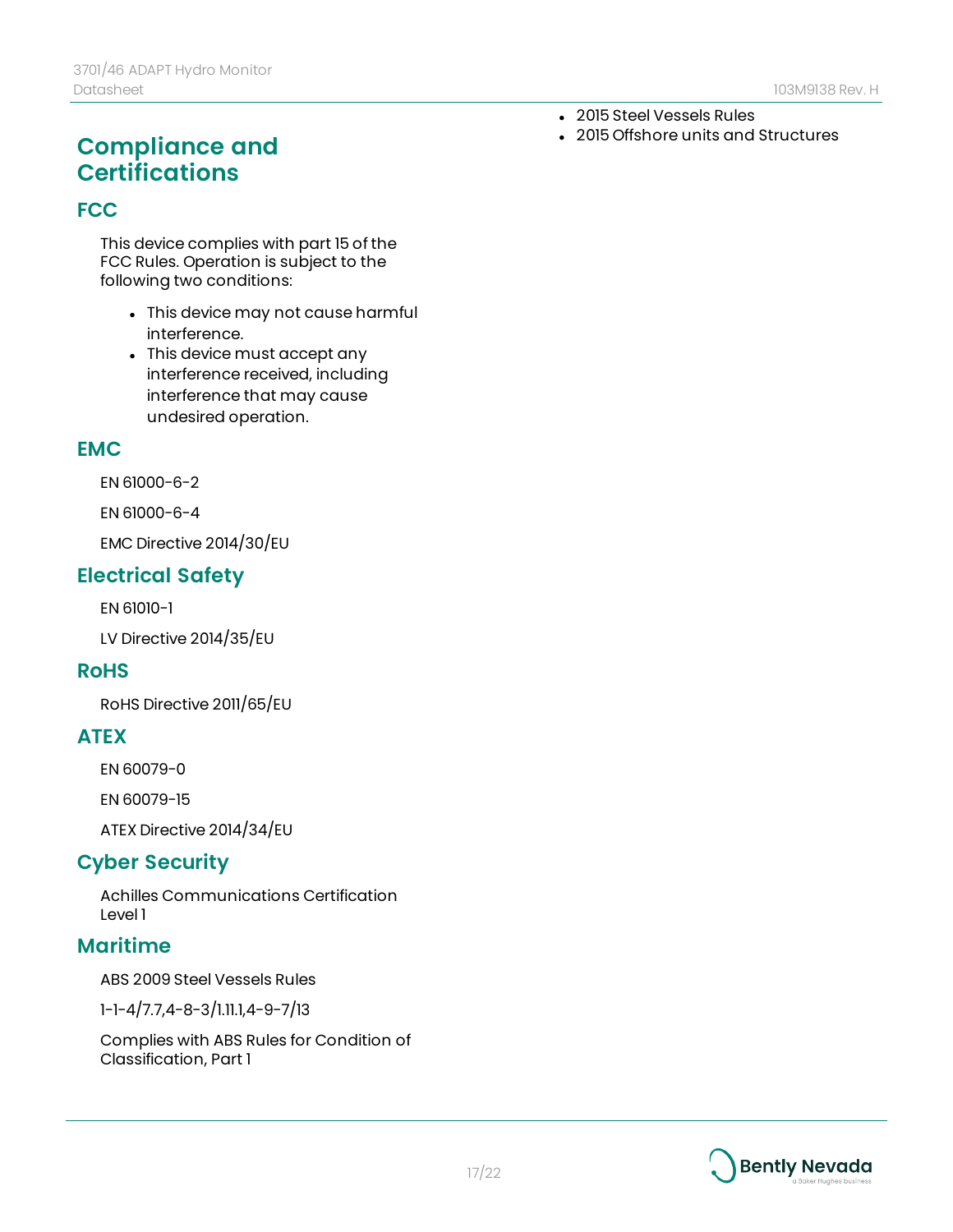#### • 2015 Steel Vessels Rules

• 2015 Offshore units and Structures

## **Compliance and Certifications**

#### **FCC**

This device complies with part 15 of the FCC Rules. Operation is subject to the following two conditions:

- This device may not cause harmful interference.
- This device must accept any interference received, including interference that may cause undesired operation.

#### **EMC**

EN 61000-6-2

EN 61000-6-4

EMC Directive 2014/30/EU

### **Electrical Safety**

EN 61010-1

LV Directive 2014/35/EU

#### **RoHS**

RoHS Directive 2011/65/EU

#### **ATEX**

EN 60079-0

EN 60079-15

ATEX Directive 2014/34/EU

### **Cyber Security**

Achilles Communications Certification Level 1

#### **Maritime**

ABS 2009 Steel Vessels Rules

1-1-4/7.7,4-8-3/1.11.1,4-9-7/13

Complies with ABS Rules for Condition of Classification, Part 1

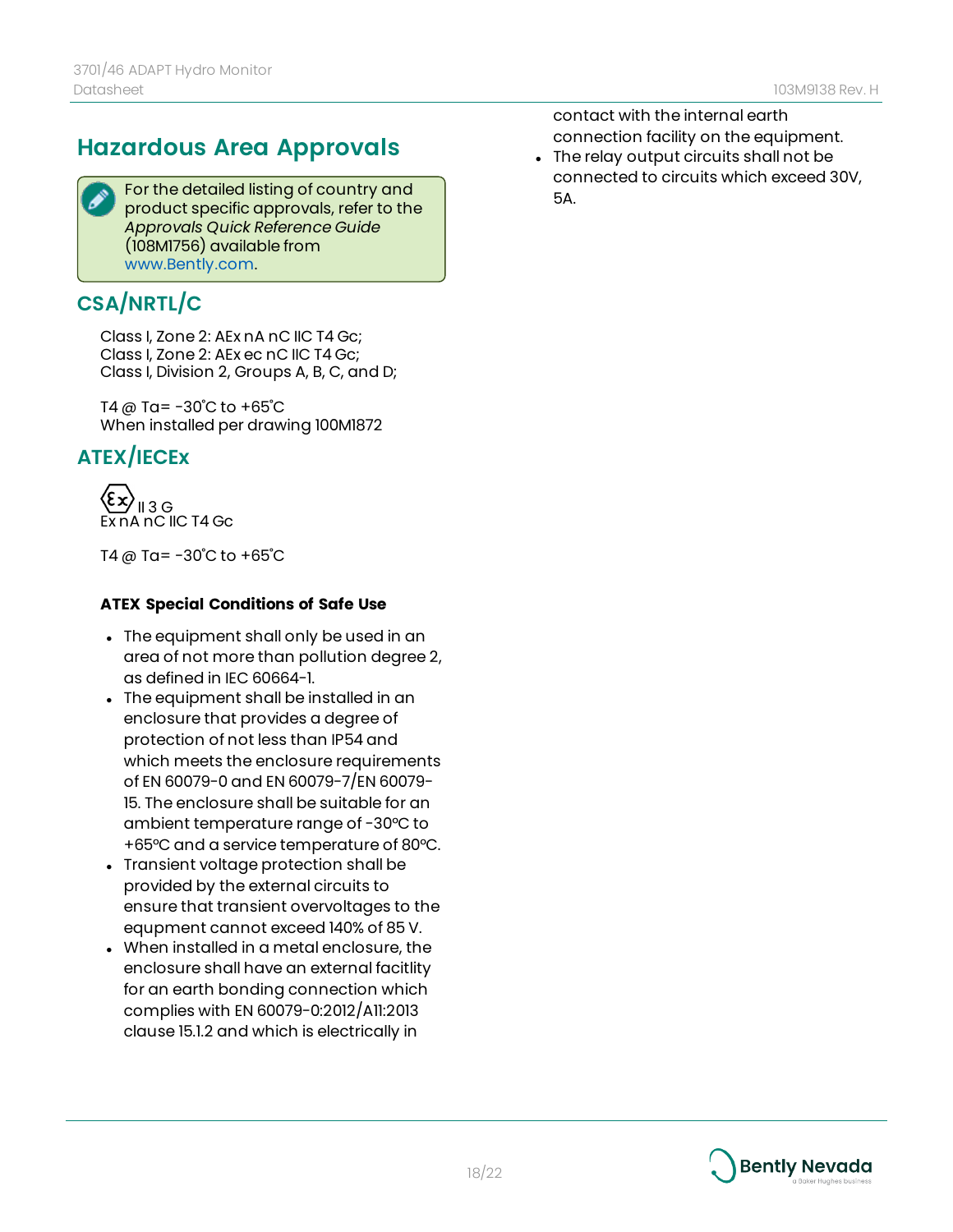## **Hazardous Area Approvals**

For the detailed listing of country and product specific approvals, refer to the *Approvals Quick Reference Guide* (108M1756) available from [www.Bently.com.](http://www.bently.com/)

## **CSA/NRTL/C**

Class I, Zone 2: AEx nA nC IIC T4 Gc; Class I, Zone 2: AEx ec nC IIC T4 Gc; Class I, Division 2, Groups A, B, C, and D;

T4 @ Ta= -30˚C to +65˚C When installed per drawing 100M1872

### **ATEX/IECEx**

II 3 G Ex nA nC IIC T4 Gc

T4 @ Ta= -30˚C to +65˚C

#### **ATEX Special Conditions of Safe Use**

- The equipment shall only be used in an area of not more than pollution degree 2, as defined in IEC 60664-1.
- The equipment shall be installed in an enclosure that provides a degree of protection of not less than IP54 and which meets the enclosure requirements of EN 60079-0 and EN 60079-7/EN 60079- 15. The enclosure shall be suitable for an ambient temperature range of -30°C to +65°C and a service temperature of 80°C.
- Transient voltage protection shall be provided by the external circuits to ensure that transient overvoltages to the equpment cannot exceed 140% of 85 V.
- When installed in a metal enclosure, the enclosure shall have an external facitlity for an earth bonding connection which complies with EN 60079-0:2012/A11:2013 clause 15.1.2 and which is electrically in

contact with the internal earth connection facility on the equipment.

• The relay output circuits shall not be connected to circuits which exceed 30V, 5A.

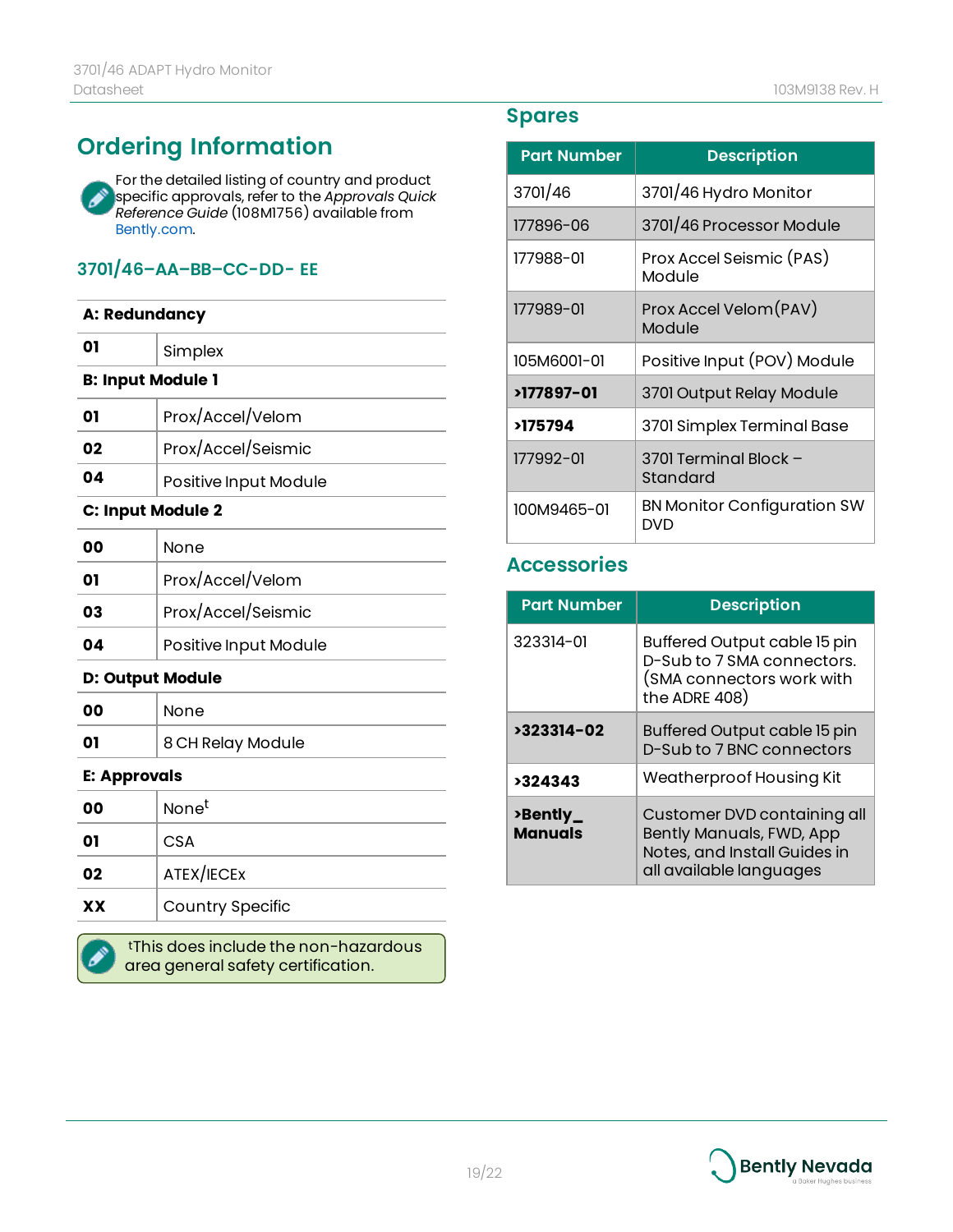## **Ordering Information**

For the detailed listing of country and product Í specific approvals, refer to the *Approvals Quick Reference Guide* (108M1756) available from [Bently.com.](http://www.bently.com/)

#### **3701/46–AA–BB–CC-DD- EE**

| A: Redundancy            |                         |
|--------------------------|-------------------------|
| 01                       | Simplex                 |
| <b>B: Input Module 1</b> |                         |
| 01                       | Prox/Accel/Velom        |
| 02                       | Prox/Accel/Seismic      |
| 04                       | Positive Input Module   |
| C: Input Module 2        |                         |
| 00                       | None                    |
| 01                       | Prox/Accel/Velom        |
| 03                       | Prox/Accel/Seismic      |
| 04                       | Positive Input Module   |
| <b>D: Output Module</b>  |                         |
| 00                       | None                    |
| 01                       | 8 CH Relay Module       |
| <b>E: Approvals</b>      |                         |
| 00                       | None <sup>t</sup>       |
| 01                       | CSA                     |
| 02                       | ATEX/IECEX              |
| XX                       | <b>Country Specific</b> |
|                          |                         |

tThis does include the non-hazardous area general safety certification.

### **Spares**

| <b>Part Number</b> | <b>Description</b>                        |
|--------------------|-------------------------------------------|
| 3701/46            | 3701/46 Hydro Monitor                     |
| 177896-06          | 3701/46 Processor Module                  |
| 177988-01          | Prox Accel Seismic (PAS)<br>Module        |
| 177989-01          | Prox Accel Velom (PAV)<br>Module          |
| 105M6001-01        | Positive Input (POV) Module               |
| >177897-01         | 3701 Output Relay Module                  |
| >175794            | 3701 Simplex Terminal Base                |
| 177992-01          | 3701 Terminal Block -<br>Standard         |
| 100M9465-01        | <b>BN Monitor Configuration SW</b><br>DVD |

#### **Accessories**

| <b>Part Number</b>         | <b>Description</b>                                                                                                 |
|----------------------------|--------------------------------------------------------------------------------------------------------------------|
| 323314-01                  | Buffered Output cable 15 pin<br>D-Sub to 7 SMA connectors.<br>(SMA connectors work with<br>the ADRE 408)           |
| >323314-02                 | Buffered Output cable 15 pin<br>D-Sub to 7 BNC connectors                                                          |
| >324343                    | Weatherproof Housing Kit                                                                                           |
| >Bently_<br><b>Manuals</b> | Customer DVD containing all<br>Bently Manuals, FWD, App<br>Notes, and Install Guides in<br>all available languages |

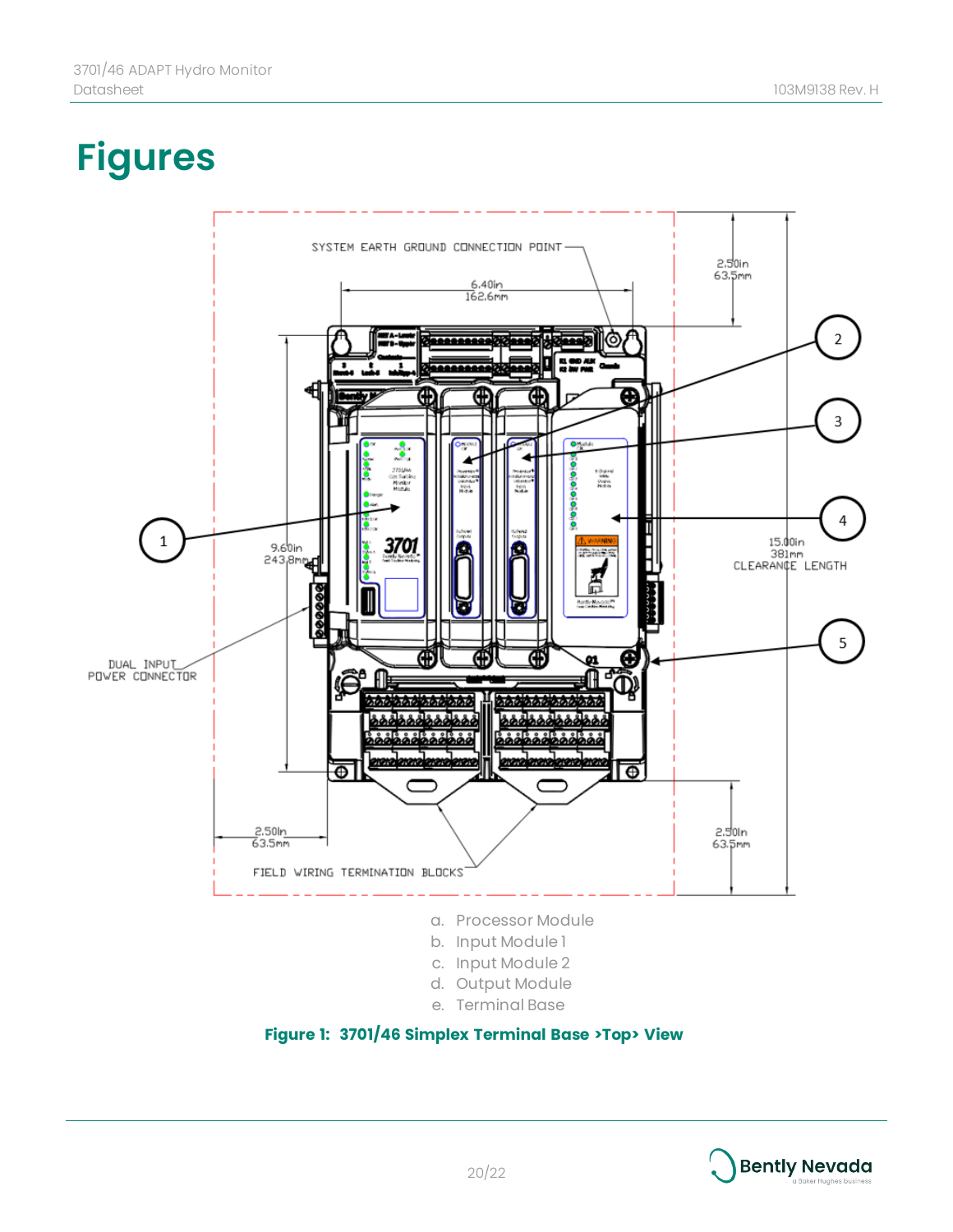# **Figures**



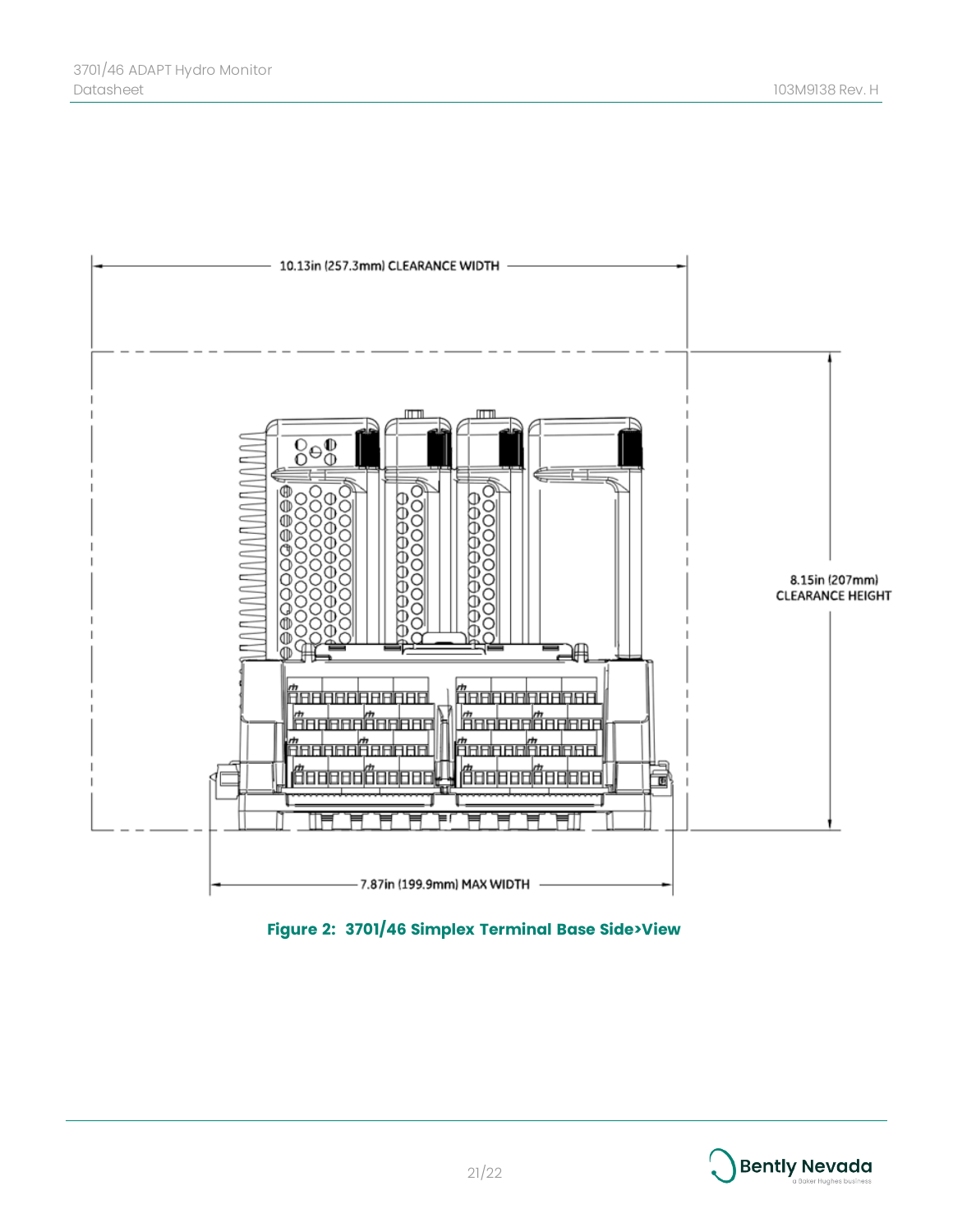

**Figure 2: 3701/46 Simplex Terminal Base Side>View**